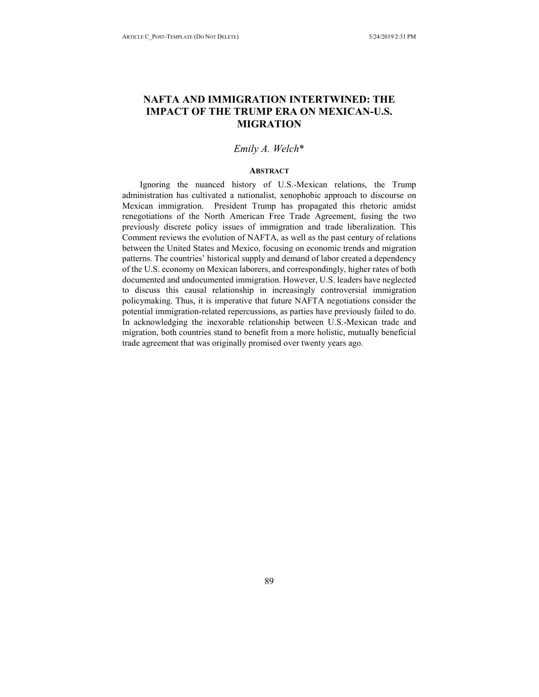# **NAFTA AND IMMIGRATION INTERTWINED: THE IMPACT OF THE TRUMP ERA ON MEXICAN-U.S. MIGRATION**

# *Emily A. Welch*\*

## **ABSTRACT**

Ignoring the nuanced history of U.S.-Mexican relations, the Trump administration has cultivated a nationalist, xenophobic approach to discourse on Mexican immigration. President Trump has propagated this rhetoric amidst renegotiations of the North American Free Trade Agreement, fusing the two previously discrete policy issues of immigration and trade liberalization. This Comment reviews the evolution of NAFTA, as well as the past century of relations between the United States and Mexico, focusing on economic trends and migration patterns. The countries' historical supply and demand of labor created a dependency of the U.S. economy on Mexican laborers, and correspondingly, higher rates of both documented and undocumented immigration. However, U.S. leaders have neglected to discuss this causal relationship in increasingly controversial immigration policymaking. Thus, it is imperative that future NAFTA negotiations consider the potential immigration-related repercussions, as parties have previously failed to do. In acknowledging the inexorable relationship between U.S.-Mexican trade and migration, both countries stand to benefit from a more holistic, mutually beneficial trade agreement that was originally promised over twenty years ago.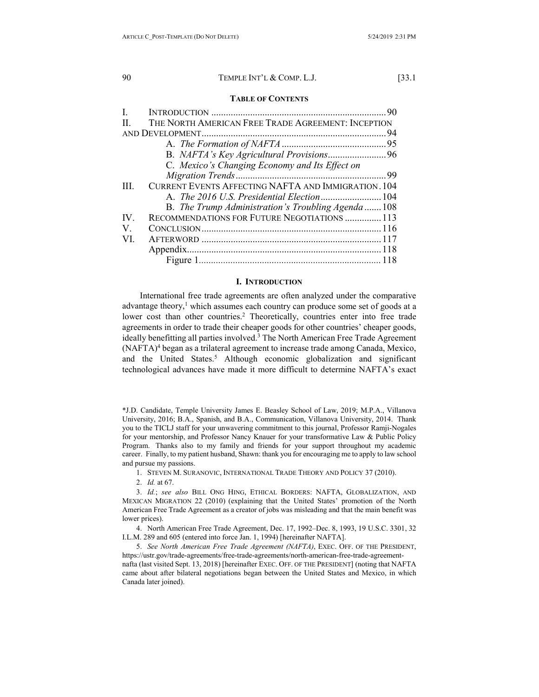#### **TABLE OF CONTENTS**

| $\mathbf{L}$  |                                                            |  |
|---------------|------------------------------------------------------------|--|
| $\Pi$ .       | THE NORTH AMERICAN FREE TRADE AGREEMENT: INCEPTION         |  |
|               |                                                            |  |
|               |                                                            |  |
|               |                                                            |  |
|               | C. Mexico's Changing Economy and Its Effect on             |  |
|               |                                                            |  |
| TH.           | <b>CURRENT EVENTS AFFECTING NAFTA AND IMMIGRATION. 104</b> |  |
|               |                                                            |  |
|               | B. The Trump Administration's Troubling Agenda108          |  |
| $\mathbf{IV}$ | RECOMMENDATIONS FOR FUTURE NEGOTIATIONS  113               |  |
| V.            |                                                            |  |
| VI.           |                                                            |  |
|               |                                                            |  |
|               |                                                            |  |

## <span id="page-1-0"></span>**I. INTRODUCTION**

International free trade agreements are often analyzed under the comparative advantage theory, $<sup>1</sup>$  which assumes each country can produce some set of goods at a</sup> lower cost than other countries.<sup>2</sup> Theoretically, countries enter into free trade agreements in order to trade their cheaper goods for other countries' cheaper goods, ideally benefitting all parties involved.<sup>3</sup> The North American Free Trade Agreement (NAFTA)4 began as a trilateral agreement to increase trade among Canada, Mexico, and the United States.<sup>5</sup> Although economic globalization and significant technological advances have made it more difficult to determine NAFTA's exact

\*J.D. Candidate, Temple University James E. Beasley School of Law, 2019; M.P.A., Villanova University, 2016; B.A., Spanish, and B.A., Communication, Villanova University, 2014. Thank you to the TICLJ staff for your unwavering commitment to this journal, Professor Ramji-Nogales for your mentorship, and Professor Nancy Knauer for your transformative Law & Public Policy Program. Thanks also to my family and friends for your support throughout my academic career. Finally, to my patient husband, Shawn: thank you for encouraging me to apply to law school and pursue my passions.

- 1. STEVEN M. SURANOVIC, INTERNATIONAL TRADE THEORY AND POLICY 37 (2010).
- 2. *Id.* at 67.

3. *Id.*; *see also* BILL ONG HING, ETHICAL BORDERS: NAFTA, GLOBALIZATION, AND MEXICAN MIGRATION 22 (2010) (explaining that the United States' promotion of the North American Free Trade Agreement as a creator of jobs was misleading and that the main benefit was lower prices).

4. North American Free Trade Agreement, Dec. 17, 1992–Dec. 8, 1993, 19 U.S.C. 3301, 32 I.L.M. 289 and 605 (entered into force Jan. 1, 1994) [hereinafter NAFTA].

5. *See North American Free Trade Agreement (NAFTA)*, EXEC. OFF. OF THE PRESIDENT, https://ustr.gov/trade-agreements/free-trade-agreements/north-american-free-trade-agreementnafta (last visited Sept. 13, 2018) [hereinafter EXEC. OFF. OF THE PRESIDENT] (noting that NAFTA came about after bilateral negotiations began between the United States and Mexico, in which Canada later joined).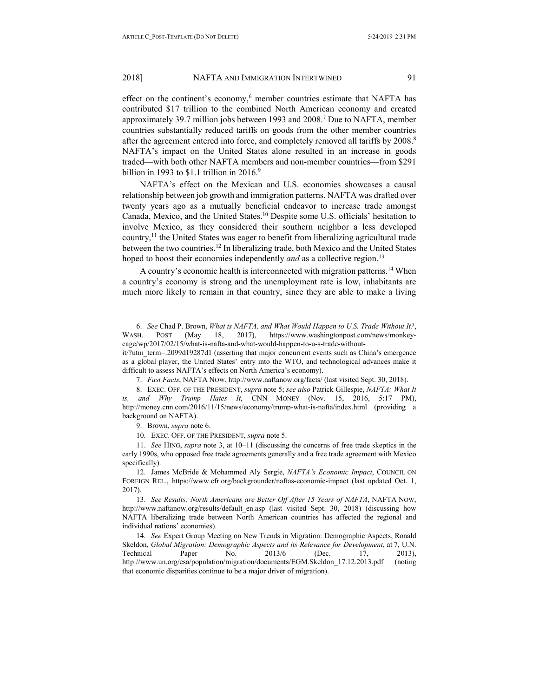effect on the continent's economy, $6$  member countries estimate that NAFTA has contributed \$17 trillion to the combined North American economy and created approximately 39.7 million jobs between 1993 and 2008.7 Due to NAFTA, member countries substantially reduced tariffs on goods from the other member countries after the agreement entered into force, and completely removed all tariffs by 2008.<sup>8</sup> NAFTA's impact on the United States alone resulted in an increase in goods traded—with both other NAFTA members and non-member countries—from \$291 billion in 1993 to \$1.1 trillion in 2016. $9$ 

NAFTA's effect on the Mexican and U.S. economies showcases a causal relationship between job growth and immigration patterns. NAFTA was drafted over twenty years ago as a mutually beneficial endeavor to increase trade amongst Canada, Mexico, and the United States.10 Despite some U.S. officials' hesitation to involve Mexico, as they considered their southern neighbor a less developed country,<sup>11</sup> the United States was eager to benefit from liberalizing agricultural trade between the two countries.12 In liberalizing trade, both Mexico and the United States hoped to boost their economies independently *and* as a collective region.<sup>13</sup>

A country's economic health is interconnected with migration patterns.<sup>14</sup> When a country's economy is strong and the unemployment rate is low, inhabitants are much more likely to remain in that country, since they are able to make a living

6. *See* Chad P. Brown, *What is NAFTA, and What Would Happen to U.S. Trade Without It?*, WASH. POST (May 18, 2017), https://www.washingtonpost.com/news/monkeycage/wp/2017/02/15/what-is-nafta-and-what-would-happen-to-u-s-trade-without-

it/?utm\_term=.2099d19287d1 (asserting that major concurrent events such as China's emergence as a global player, the United States' entry into the WTO, and technological advances make it difficult to assess NAFTA's effects on North America's economy).

7. *Fast Facts*, NAFTA NOW, http://www.naftanow.org/facts/ (last visited Sept. 30, 2018).

8. EXEC. OFF. OF THE PRESIDENT, *supra* note 5; *see also* Patrick Gillespie, *NAFTA: What It is, and Why Trump Hates It*, CNN MONEY (Nov. 15, 2016, 5:17 PM), http://money.cnn.com/2016/11/15/news/economy/trump-what-is-nafta/index.html (providing a background on NAFTA).

9. Brown, *supra* note 6.

10. EXEC. OFF. OF THE PRESIDENT, *supra* note 5.

11. *See* HING, *supra* note 3, at 10–11 (discussing the concerns of free trade skeptics in the early 1990s, who opposed free trade agreements generally and a free trade agreement with Mexico specifically).

12. James McBride & Mohammed Aly Sergie, *NAFTA's Economic Impact*, COUNCIL ON FOREIGN REL., https://www.cfr.org/backgrounder/naftas-economic-impact (last updated Oct. 1, 2017).

13. *See Results: North Americans are Better Off After 15 Years of NAFTA*, NAFTA NOW, http://www.naftanow.org/results/default en.asp (last visited Sept. 30, 2018) (discussing how NAFTA liberalizing trade between North American countries has affected the regional and individual nations' economies).

14. *See* Expert Group Meeting on New Trends in Migration: Demographic Aspects, Ronald Skeldon, *Global Migration: Demographic Aspects and its Relevance for Development*, at 7, U.N. Technical Paper No. 2013/6 (Dec. 17, 2013), http://www.un.org/esa/population/migration/documents/EGM.Skeldon\_17.12.2013.pdf (noting that economic disparities continue to be a major driver of migration).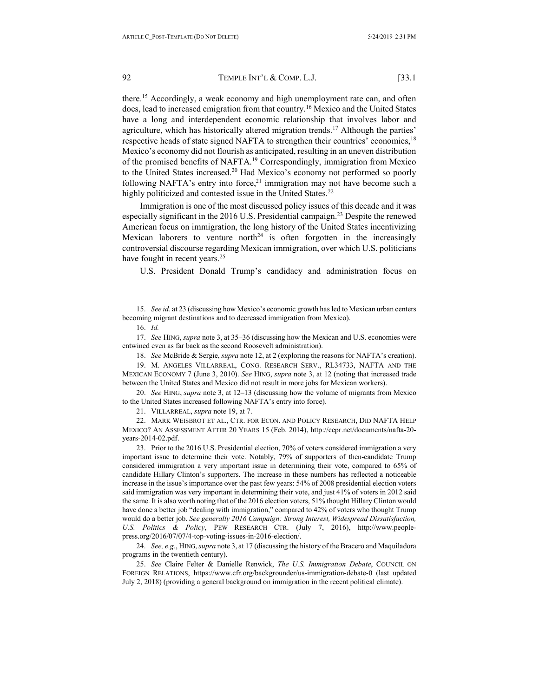there.<sup>15</sup> Accordingly, a weak economy and high unemployment rate can, and often does, lead to increased emigration from that country.16 Mexico and the United States have a long and interdependent economic relationship that involves labor and agriculture, which has historically altered migration trends.17 Although the parties' respective heads of state signed NAFTA to strengthen their countries' economies,<sup>18</sup> Mexico's economy did not flourish as anticipated, resulting in an uneven distribution of the promised benefits of NAFTA.19 Correspondingly, immigration from Mexico to the United States increased.<sup>20</sup> Had Mexico's economy not performed so poorly following NAFTA's entry into force, $21$  immigration may not have become such a highly politicized and contested issue in the United States.<sup>22</sup>

Immigration is one of the most discussed policy issues of this decade and it was especially significant in the 2016 U.S. Presidential campaign.23 Despite the renewed American focus on immigration, the long history of the United States incentivizing Mexican laborers to venture north<sup>24</sup> is often forgotten in the increasingly controversial discourse regarding Mexican immigration, over which U.S. politicians have fought in recent years.<sup>25</sup>

U.S. President Donald Trump's candidacy and administration focus on

15. *See id.* at 23 (discussing how Mexico's economic growth has led to Mexican urban centers becoming migrant destinations and to decreased immigration from Mexico).

16. *Id.*

17. *See* HING, *supra* note 3, at 35–36 (discussing how the Mexican and U.S. economies were entwined even as far back as the second Roosevelt administration).

18. *See* McBride & Sergie, *supra* note 12, at 2 (exploring the reasons for NAFTA's creation).

19. M. ANGELES VILLARREAL, CONG. RESEARCH SERV., RL34733, NAFTA AND THE MEXICAN ECONOMY 7 (June 3, 2010). *See* HING, *supra* note 3, at 12 (noting that increased trade between the United States and Mexico did not result in more jobs for Mexican workers).

20. *See* HING, *supra* note 3, at 12–13 (discussing how the volume of migrants from Mexico to the United States increased following NAFTA's entry into force).

21. VILLARREAL, *supra* note 19, at 7.

22. MARK WEISBROT ET AL., CTR. FOR ECON. AND POLICY RESEARCH, DID NAFTA HELP MEXICO? AN ASSESSMENT AFTER 20 YEARS 15 (Feb. 2014), http://cepr.net/documents/nafta-20 years-2014-02.pdf.

23. Prior to the 2016 U.S. Presidential election, 70% of voters considered immigration a very important issue to determine their vote. Notably, 79% of supporters of then-candidate Trump considered immigration a very important issue in determining their vote, compared to 65% of candidate Hillary Clinton's supporters. The increase in these numbers has reflected a noticeable increase in the issue's importance over the past few years: 54% of 2008 presidential election voters said immigration was very important in determining their vote, and just 41% of voters in 2012 said the same. It is also worth noting that of the 2016 election voters, 51% thought Hillary Clinton would have done a better job "dealing with immigration," compared to 42% of voters who thought Trump would do a better job. *See generally 2016 Campaign: Strong Interest, Widespread Dissatisfaction, U.S. Politics & Policy*, PEW RESEARCH CTR. (July 7, 2016), http://www.peoplepress.org/2016/07/07/4-top-voting-issues-in-2016-election/.

24. *See, e.g.*, HING, *supra* note 3, at 17 (discussing the history of the Bracero and Maquiladora programs in the twentieth century).

25. *See* Claire Felter & Danielle Renwick, *The U.S. Immigration Debate*, COUNCIL ON FOREIGN RELATIONS, https://www.cfr.org/backgrounder/us-immigration-debate-0 (last updated July 2, 2018) (providing a general background on immigration in the recent political climate).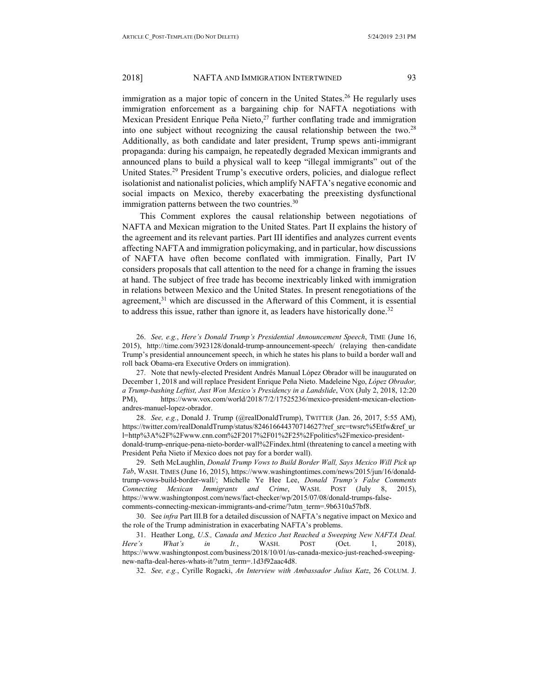immigration as a major topic of concern in the United States.<sup>26</sup> He regularly uses immigration enforcement as a bargaining chip for NAFTA negotiations with Mexican President Enrique Peña Nieto, $27$  further conflating trade and immigration into one subject without recognizing the causal relationship between the two.<sup>28</sup> Additionally, as both candidate and later president, Trump spews anti-immigrant propaganda: during his campaign, he repeatedly degraded Mexican immigrants and announced plans to build a physical wall to keep "illegal immigrants" out of the United States.29 President Trump's executive orders, policies, and dialogue reflect isolationist and nationalist policies, which amplify NAFTA's negative economic and social impacts on Mexico, thereby exacerbating the preexisting dysfunctional immigration patterns between the two countries.<sup>30</sup>

This Comment explores the causal relationship between negotiations of NAFTA and Mexican migration to the United States. Part II explains the history of the agreement and its relevant parties. Part III identifies and analyzes current events affecting NAFTA and immigration policymaking, and in particular, how discussions of NAFTA have often become conflated with immigration. Finally, Part IV considers proposals that call attention to the need for a change in framing the issues at hand. The subject of free trade has become inextricably linked with immigration in relations between Mexico and the United States. In present renegotiations of the agreement,<sup>31</sup> which are discussed in the Afterward of this Comment, it is essential to address this issue, rather than ignore it, as leaders have historically done.<sup>32</sup>

26. *See, e.g.*, *Here's Donald Trump's Presidential Announcement Speech*, TIME (June 16, 2015), http://time.com/3923128/donald-trump-announcement-speech/ (relaying then-candidate Trump's presidential announcement speech, in which he states his plans to build a border wall and roll back Obama-era Executive Orders on immigration).

27. Note that newly-elected President Andrés Manual López Obrador will be inaugurated on December 1, 2018 and will replace President Enrique Peña Nieto. Madeleine Ngo, *López Obrador, a Trump-bashing Leftist, Just Won Mexico's Presidency in a Landslide*, VOX (July 2, 2018, 12:20 PM), https://www.vox.com/world/2018/7/2/17525236/mexico-president-mexican-electionandres-manuel-lopez-obrador.

28. *See, e.g.*, Donald J. Trump (@realDonaldTrump), TWITTER (Jan. 26, 2017, 5:55 AM), https://twitter.com/realDonaldTrump/status/824616644370714627?ref\_src=twsrc%5Etfw&ref\_ur l=http%3A%2F%2Fwww.cnn.com%2F2017%2F01%2F25%2Fpolitics%2Fmexico-presidentdonald-trump-enrique-pena-nieto-border-wall%2Findex.html (threatening to cancel a meeting with President Peña Nieto if Mexico does not pay for a border wall).

29. Seth McLaughlin, *Donald Trump Vows to Build Border Wall, Says Mexico Will Pick up Tab*, WASH. TIMES (June 16, 2015), https://www.washingtontimes.com/news/2015/jun/16/donaldtrump-vows-build-border-wall/; Michelle Ye Hee Lee, *Donald Trump's False Comments Connecting Mexican Immigrants and Crime*, WASH. POST (July 8, 2015), https://www.washingtonpost.com/news/fact-checker/wp/2015/07/08/donald-trumps-falsecomments-connecting-mexican-immigrants-and-crime/?utm\_term=.9b6310a57bf8.

30. See *infra* Part III.B for a detailed discussion of NAFTA's negative impact on Mexico and the role of the Trump administration in exacerbating NAFTA's problems.

31. Heather Long, *U.S., Canada and Mexico Just Reached a Sweeping New NAFTA Deal. Here's What's in It.*, WASH. POST (Oct. 1, 2018), https://www.washingtonpost.com/business/2018/10/01/us-canada-mexico-just-reached-sweepingnew-nafta-deal-heres-whats-it/?utm\_term=.1d3f92aac4d8.

32. *See, e.g.*, Cyrille Rogacki, *An Interview with Ambassador Julius Katz*, 26 COLUM. J.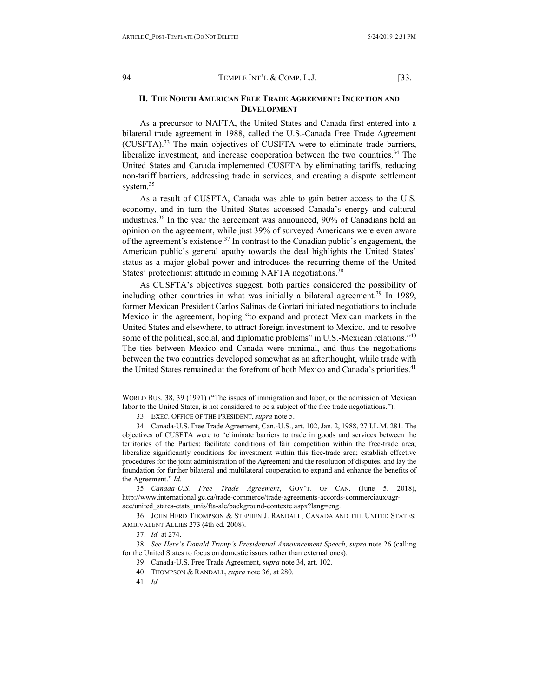# <span id="page-5-0"></span>**II. THE NORTH AMERICAN FREE TRADE AGREEMENT: INCEPTION AND DEVELOPMENT**

As a precursor to NAFTA, the United States and Canada first entered into a bilateral trade agreement in 1988, called the U.S.-Canada Free Trade Agreement (CUSFTA).33 The main objectives of CUSFTA were to eliminate trade barriers, liberalize investment, and increase cooperation between the two countries.<sup>34</sup> The United States and Canada implemented CUSFTA by eliminating tariffs, reducing non-tariff barriers, addressing trade in services, and creating a dispute settlement system.<sup>35</sup>

As a result of CUSFTA, Canada was able to gain better access to the U.S. economy, and in turn the United States accessed Canada's energy and cultural industries.36 In the year the agreement was announced, 90% of Canadians held an opinion on the agreement, while just 39% of surveyed Americans were even aware of the agreement's existence.37 In contrast to the Canadian public's engagement, the American public's general apathy towards the deal highlights the United States' status as a major global power and introduces the recurring theme of the United States' protectionist attitude in coming NAFTA negotiations.<sup>38</sup>

As CUSFTA's objectives suggest, both parties considered the possibility of including other countries in what was initially a bilateral agreement.<sup>39</sup> In 1989, former Mexican President Carlos Salinas de Gortari initiated negotiations to include Mexico in the agreement, hoping "to expand and protect Mexican markets in the United States and elsewhere, to attract foreign investment to Mexico, and to resolve some of the political, social, and diplomatic problems" in U.S.-Mexican relations."<sup>40</sup> The ties between Mexico and Canada were minimal, and thus the negotiations between the two countries developed somewhat as an afterthought, while trade with the United States remained at the forefront of both Mexico and Canada's priorities.41

WORLD BUS. 38, 39 (1991) ("The issues of immigration and labor, or the admission of Mexican labor to the United States, is not considered to be a subject of the free trade negotiations.").

33. EXEC. OFFICE OF THE PRESIDENT, *supra* note 5.

34. Canada-U.S. Free Trade Agreement, Can.-U.S., art. 102, Jan. 2, 1988, 27 I.L.M. 281. The objectives of CUSFTA were to "eliminate barriers to trade in goods and services between the territories of the Parties; facilitate conditions of fair competition within the free-trade area; liberalize significantly conditions for investment within this free-trade area; establish effective procedures for the joint administration of the Agreement and the resolution of disputes; and lay the foundation for further bilateral and multilateral cooperation to expand and enhance the benefits of the Agreement." *Id.* 

35. *Canada-U.S. Free Trade Agreement*, GOV'T. OF CAN. (June 5, 2018), http://www.international.gc.ca/trade-commerce/trade-agreements-accords-commerciaux/agracc/united\_states-etats\_unis/fta-ale/background-contexte.aspx?lang=eng.

36. JOHN HERD THOMPSON & STEPHEN J. RANDALL, CANADA AND THE UNITED STATES: AMBIVALENT ALLIES 273 (4th ed. 2008).

37. *Id.* at 274.

38. *See Here's Donald Trump's Presidential Announcement Speech*, *supra* note 26 (calling for the United States to focus on domestic issues rather than external ones).

39. Canada-U.S. Free Trade Agreement, *supra* note 34, art. 102.

- 40. THOMPSON & RANDALL, *supra* note 36, at 280.
- 41. *Id.*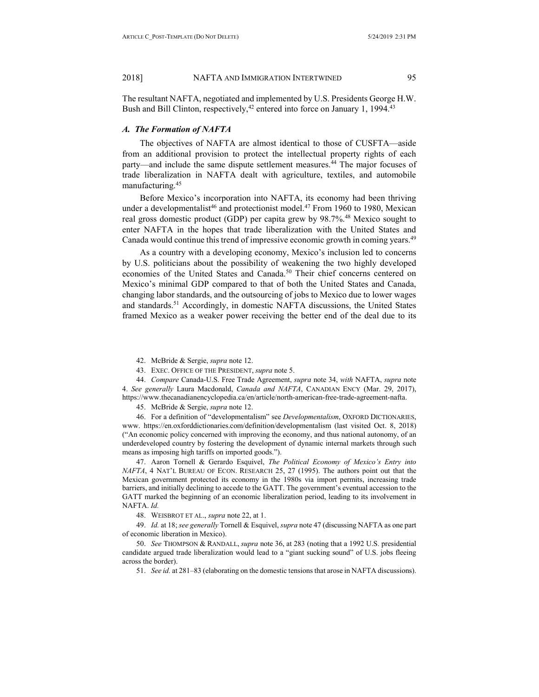The resultant NAFTA, negotiated and implemented by U.S. Presidents George H.W. Bush and Bill Clinton, respectively,<sup>42</sup> entered into force on January 1, 1994.<sup>43</sup>

## <span id="page-6-0"></span>*A. The Formation of NAFTA*

The objectives of NAFTA are almost identical to those of CUSFTA—aside from an additional provision to protect the intellectual property rights of each party—and include the same dispute settlement measures.<sup>44</sup> The major focuses of trade liberalization in NAFTA dealt with agriculture, textiles, and automobile manufacturing.45

Before Mexico's incorporation into NAFTA, its economy had been thriving under a developmentalist<sup>46</sup> and protectionist model.<sup>47</sup> From 1960 to 1980, Mexican real gross domestic product (GDP) per capita grew by 98.7%.48 Mexico sought to enter NAFTA in the hopes that trade liberalization with the United States and Canada would continue this trend of impressive economic growth in coming years.<sup>49</sup>

As a country with a developing economy, Mexico's inclusion led to concerns by U.S. politicians about the possibility of weakening the two highly developed economies of the United States and Canada.<sup>50</sup> Their chief concerns centered on Mexico's minimal GDP compared to that of both the United States and Canada, changing labor standards, and the outsourcing of jobs to Mexico due to lower wages and standards.<sup>51</sup> Accordingly, in domestic NAFTA discussions, the United States framed Mexico as a weaker power receiving the better end of the deal due to its

42. McBride & Sergie, *supra* note 12.

43. EXEC. OFFICE OF THE PRESIDENT, *supra* note 5.

44. *Compare* Canada-U.S. Free Trade Agreement, *supra* note 34, *with* NAFTA, *supra* note 4. *See generally* Laura Macdonald, *Canada and NAFTA*, CANADIAN ENCY (Mar. 29, 2017), https://www.thecanadianencyclopedia.ca/en/article/north-american-free-trade-agreement-nafta.

45. McBride & Sergie, *supra* note 12.

46. For a definition of "developmentalism" see *Developmentalism*, OXFORD DICTIONARIES, www. https://en.oxforddictionaries.com/definition/developmentalism (last visited Oct. 8, 2018) ("An economic policy concerned with improving the economy, and thus national autonomy, of an underdeveloped country by fostering the development of dynamic internal markets through such means as imposing high tariffs on imported goods.").

47. Aaron Tornell & Gerardo Esquivel, *The Political Economy of Mexico's Entry into NAFTA*, 4 NAT'L BUREAU OF ECON. RESEARCH 25, 27 (1995). The authors point out that the Mexican government protected its economy in the 1980s via import permits, increasing trade barriers, and initially declining to accede to the GATT. The government's eventual accession to the GATT marked the beginning of an economic liberalization period, leading to its involvement in NAFTA. *Id.*

48. WEISBROT ET AL., *supra* note 22, at 1.

49. *Id.* at 18; *see generally* Tornell & Esquivel, *supra* note 47 (discussing NAFTA as one part of economic liberation in Mexico).

50. *See* THOMPSON & RANDALL, *supra* note 36, at 283 (noting that a 1992 U.S. presidential candidate argued trade liberalization would lead to a "giant sucking sound" of U.S. jobs fleeing across the border).

51. *See id.* at 281–83 (elaborating on the domestic tensions that arose in NAFTA discussions).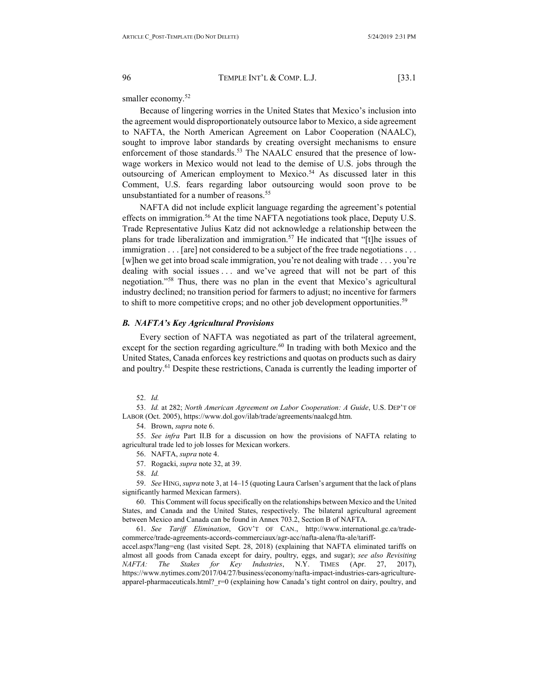smaller economy.<sup>52</sup>

Because of lingering worries in the United States that Mexico's inclusion into the agreement would disproportionately outsource labor to Mexico, a side agreement to NAFTA, the North American Agreement on Labor Cooperation (NAALC), sought to improve labor standards by creating oversight mechanisms to ensure enforcement of those standards.<sup>53</sup> The NAALC ensured that the presence of lowwage workers in Mexico would not lead to the demise of U.S. jobs through the outsourcing of American employment to Mexico.<sup>54</sup> As discussed later in this Comment, U.S. fears regarding labor outsourcing would soon prove to be unsubstantiated for a number of reasons. 55

NAFTA did not include explicit language regarding the agreement's potential effects on immigration.<sup>56</sup> At the time NAFTA negotiations took place, Deputy U.S. Trade Representative Julius Katz did not acknowledge a relationship between the plans for trade liberalization and immigration.<sup>57</sup> He indicated that "[t]he issues of immigration . . . [are] not considered to be a subject of the free trade negotiations . . . [w]hen we get into broad scale immigration, you're not dealing with trade . . . you're dealing with social issues . . . and we've agreed that will not be part of this negotiation."58 Thus, there was no plan in the event that Mexico's agricultural industry declined; no transition period for farmers to adjust; no incentive for farmers to shift to more competitive crops; and no other job development opportunities.<sup>59</sup>

#### <span id="page-7-0"></span>*B. NAFTA's Key Agricultural Provisions*

Every section of NAFTA was negotiated as part of the trilateral agreement, except for the section regarding agriculture. $60$  In trading with both Mexico and the United States, Canada enforces key restrictions and quotas on products such as dairy and poultry.<sup>61</sup> Despite these restrictions, Canada is currently the leading importer of

52. *Id.*

53. *Id.* at 282; *North American Agreement on Labor Cooperation: A Guide*, U.S. DEP'T OF LABOR (Oct. 2005), https://www.dol.gov/ilab/trade/agreements/naalcgd.htm.

54. Brown, *supra* note 6.

55. *See infra* Part II.B for a discussion on how the provisions of NAFTA relating to agricultural trade led to job losses for Mexican workers.

- 56. NAFTA, *supra* note 4.
- 57. Rogacki, *supra* note 32, at 39.

58. *Id.* 

59. *See* HING, *supra* note 3, at 14–15 (quoting Laura Carlsen's argument that the lack of plans significantly harmed Mexican farmers).

60. This Comment will focus specifically on the relationships between Mexico and the United States, and Canada and the United States, respectively. The bilateral agricultural agreement between Mexico and Canada can be found in Annex 703.2, Section B of NAFTA.

61. *See Tariff Elimination*, GOV'T OF CAN., http://www.international.gc.ca/tradecommerce/trade-agreements-accords-commerciaux/agr-acc/nafta-alena/fta-ale/tariffaccel.aspx?lang=eng (last visited Sept. 28, 2018) (explaining that NAFTA eliminated tariffs on almost all goods from Canada except for dairy, poultry, eggs, and sugar); *see also Revisiting NAFTA: The Stakes for Key Industries*, N.Y. TIMES (Apr. 27, 2017), https://www.nytimes.com/2017/04/27/business/economy/nafta-impact-industries-cars-agricultureapparel-pharmaceuticals.html? r=0 (explaining how Canada's tight control on dairy, poultry, and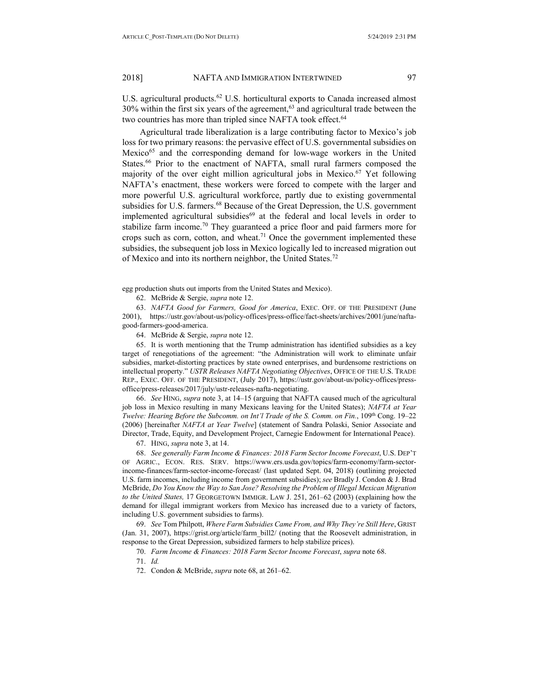U.S. agricultural products.<sup>62</sup> U.S. horticultural exports to Canada increased almost  $30\%$  within the first six years of the agreement,<sup>63</sup> and agricultural trade between the two countries has more than tripled since NAFTA took effect.<sup>64</sup>

Agricultural trade liberalization is a large contributing factor to Mexico's job loss for two primary reasons: the pervasive effect of U.S. governmental subsidies on Mexico<sup>65</sup> and the corresponding demand for low-wage workers in the United States.<sup>66</sup> Prior to the enactment of NAFTA, small rural farmers composed the majority of the over eight million agricultural jobs in Mexico.<sup>67</sup> Yet following NAFTA's enactment, these workers were forced to compete with the larger and more powerful U.S. agricultural workforce, partly due to existing governmental subsidies for U.S. farmers.<sup>68</sup> Because of the Great Depression, the U.S. government implemented agricultural subsidies $69$  at the federal and local levels in order to stabilize farm income.<sup>70</sup> They guaranteed a price floor and paid farmers more for crops such as corn, cotton, and wheat.<sup>71</sup> Once the government implemented these subsidies, the subsequent job loss in Mexico logically led to increased migration out of Mexico and into its northern neighbor, the United States.<sup>72</sup>

egg production shuts out imports from the United States and Mexico).

62. McBride & Sergie, *supra* note 12.

63. *NAFTA Good for Farmers, Good for America*, EXEC. OFF. OF THE PRESIDENT (June 2001), https://ustr.gov/about-us/policy-offices/press-office/fact-sheets/archives/2001/june/naftagood-farmers-good-america.

64. McBride & Sergie, *supra* note 12.

65. It is worth mentioning that the Trump administration has identified subsidies as a key target of renegotiations of the agreement: "the Administration will work to eliminate unfair subsidies, market-distorting practices by state owned enterprises, and burdensome restrictions on intellectual property." *USTR Releases NAFTA Negotiating Objectives*, OFFICE OF THE U.S. TRADE REP., EXEC. OFF. OF THE PRESIDENT, (July 2017), https://ustr.gov/about-us/policy-offices/pressoffice/press-releases/2017/july/ustr-releases-nafta-negotiating.

66. *See* HING, *supra* note 3, at 14–15 (arguing that NAFTA caused much of the agricultural job loss in Mexico resulting in many Mexicans leaving for the United States); *NAFTA at Year Twelve: Hearing Before the Subcomm. on Int'l Trade of the S. Comm. on Fin.*, 109<sup>th</sup> Cong. 19–22 (2006) [hereinafter *NAFTA at Year Twelve*] (statement of Sandra Polaski, Senior Associate and Director, Trade, Equity, and Development Project, Carnegie Endowment for International Peace).

67. HING, *supra* note 3, at 14.

68. *See generally Farm Income & Finances: 2018 Farm Sector Income Forecast*, U.S. DEP'T OF AGRIC., ECON. RES. SERV. https://www.ers.usda.gov/topics/farm-economy/farm-sectorincome-finances/farm-sector-income-forecast/ (last updated Sept. 04, 2018) (outlining projected U.S. farm incomes, including income from government subsidies); *see* Bradly J. Condon & J. Brad McBride, *Do You Know the Way to San Jose? Resolving the Problem of Illegal Mexican Migration to the United States,* 17 GEORGETOWN IMMIGR. LAW J. 251, 261–62 (2003) (explaining how the demand for illegal immigrant workers from Mexico has increased due to a variety of factors, including U.S. government subsidies to farms).

69. *See* Tom Philpott, *Where Farm Subsidies Came From, and Why They're Still Here*, GRIST (Jan. 31, 2007), [https://grist.org/article/farm\\_bill2/](https://grist.org/article/farm_bill2/) (noting that the Roosevelt administration, in response to the Great Depression, subsidized farmers to help stabilize prices).

70. *Farm Income & Finances: 2018 Farm Sector Income Forecast*, *supra* note 68.

71. *Id.*

72. Condon & McBride, *supra* note 68, at 261–62.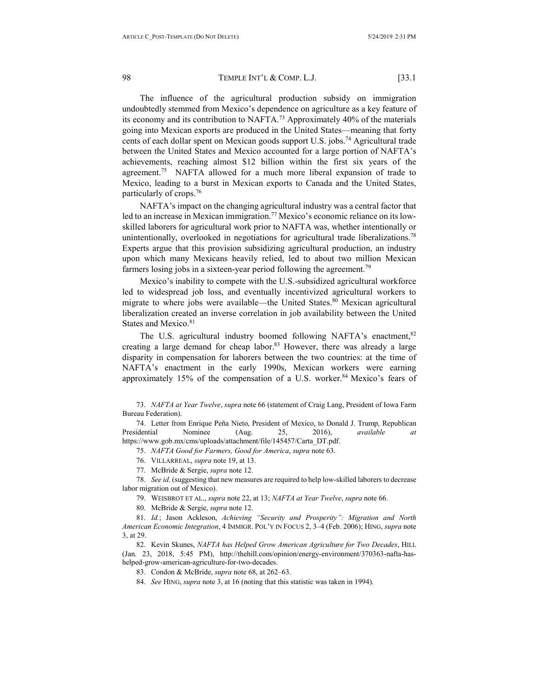The influence of the agricultural production subsidy on immigration undoubtedly stemmed from Mexico's dependence on agriculture as a key feature of its economy and its contribution to NAFTA.<sup>73</sup> Approximately 40% of the materials going into Mexican exports are produced in the United States—meaning that forty cents of each dollar spent on Mexican goods support U.S. jobs.<sup>74</sup> Agricultural trade between the United States and Mexico accounted for a large portion of NAFTA's achievements, reaching almost \$12 billion within the first six years of the agreement.<sup>75</sup> NAFTA allowed for a much more liberal expansion of trade to Mexico, leading to a burst in Mexican exports to Canada and the United States, particularly of crops.76

NAFTA's impact on the changing agricultural industry was a central factor that led to an increase in Mexican immigration.<sup>77</sup> Mexico's economic reliance on its lowskilled laborers for agricultural work prior to NAFTA was, whether intentionally or unintentionally, overlooked in negotiations for agricultural trade liberalizations.<sup>78</sup> Experts argue that this provision subsidizing agricultural production, an industry upon which many Mexicans heavily relied, led to about two million Mexican farmers losing jobs in a sixteen-year period following the agreement.<sup>79</sup>

Mexico's inability to compete with the U.S.-subsidized agricultural workforce led to widespread job loss, and eventually incentivized agricultural workers to migrate to where jobs were available—the United States.<sup>80</sup> Mexican agricultural liberalization created an inverse correlation in job availability between the United States and Mexico.<sup>81</sup>

The U.S. agricultural industry boomed following NAFTA's enactment,<sup>82</sup> creating a large demand for cheap labor.<sup>83</sup> However, there was already a large disparity in compensation for laborers between the two countries: at the time of NAFTA's enactment in the early 1990s, Mexican workers were earning approximately 15% of the compensation of a U.S. worker. $84$  Mexico's fears of

73. *NAFTA at Year Twelve*, *supra* note 66 (statement of Craig Lang, President of Iowa Farm Bureau Federation).

74. Letter from Enrique Peña Nieto, President of Mexico, to Donald J. Trump, Republican Presidential Nominee (Aug. 25, 2016), *available at*  https://www.gob.mx/cms/uploads/attachment/file/145457/Carta\_DT.pdf.

75. *NAFTA Good for Farmers, Good for America*, *supra* note 63.

76. VILLARREAL, *supra* note 19, at 13.

77. McBride & Sergie, *supra* note 12.

78. *See id*. (suggesting that new measures are required to help low-skilled laborers to decrease labor migration out of Mexico).

79. WEISBROT ET AL., *supra* note 22, at 13; *NAFTA at Year Twelve*, *supra* note 66.

80. McBride & Sergie, *supra* note 12.

81. *Id.*; Jason Ackleson, *Achieving "Security and Prosperity": Migration and North American Economic Integration*, 4 IMMIGR. POL'Y IN FOCUS 2, 3–4 (Feb. 2006); HING, *supra* note 3, at 29.

82. Kevin Skunes, *NAFTA has Helped Grow American Agriculture for Two Decades*, HILL (Jan. 23, 2018, 5:45 PM), http://thehill.com/opinion/energy-environment/370363-nafta-hashelped-grow-american-agriculture-for-two-decades.

83. Condon & McBride, *supra* note 68, at 262–63.

84. *See* HING, *supra* note 3, at 16 (noting that this statistic was taken in 1994).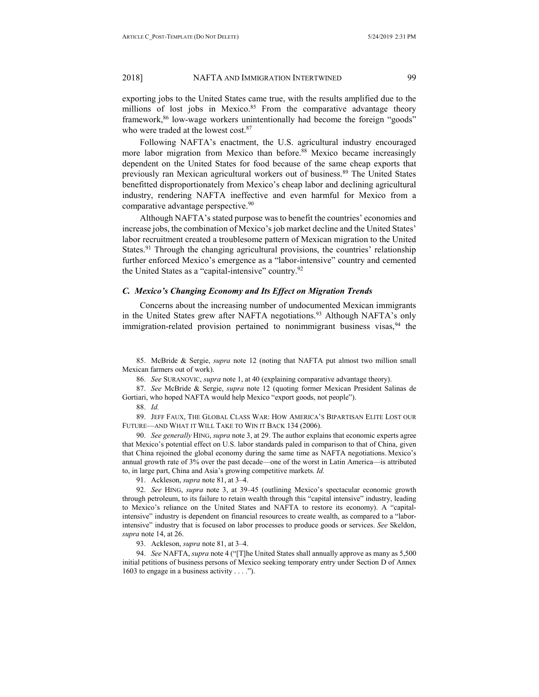exporting jobs to the United States came true, with the results amplified due to the millions of lost jobs in Mexico.<sup>85</sup> From the comparative advantage theory framework,<sup>86</sup> low-wage workers unintentionally had become the foreign "goods" who were traded at the lowest cost.<sup>87</sup>

Following NAFTA's enactment, the U.S. agricultural industry encouraged more labor migration from Mexico than before.<sup>88</sup> Mexico became increasingly dependent on the United States for food because of the same cheap exports that previously ran Mexican agricultural workers out of business.<sup>89</sup> The United States benefitted disproportionately from Mexico's cheap labor and declining agricultural industry, rendering NAFTA ineffective and even harmful for Mexico from a comparative advantage perspective.<sup>90</sup>

Although NAFTA's stated purpose was to benefit the countries' economies and increase jobs, the combination of Mexico's job market decline and the United States' labor recruitment created a troublesome pattern of Mexican migration to the United States.<sup>91</sup> Through the changing agricultural provisions, the countries' relationship further enforced Mexico's emergence as a "labor-intensive" country and cemented the United States as a "capital-intensive" country.<sup>92</sup>

# <span id="page-10-0"></span>*C. Mexico's Changing Economy and Its Effect on Migration Trends*

Concerns about the increasing number of undocumented Mexican immigrants in the United States grew after NAFTA negotiations.<sup>93</sup> Although NAFTA's only immigration-related provision pertained to nonimmigrant business visas,  $94$  the

85. McBride & Sergie, *supra* note 12 (noting that NAFTA put almost two million small Mexican farmers out of work).

86. *See* SURANOVIC, *supra* note 1, at 40 (explaining comparative advantage theory).

87. *See* McBride & Sergie, *supra* note 12 (quoting former Mexican President Salinas de Gortiari, who hoped NAFTA would help Mexico "export goods, not people").

88. *Id.*

89. JEFF FAUX, THE GLOBAL CLASS WAR: HOW AMERICA'S BIPARTISAN ELITE LOST OUR FUTURE—AND WHAT IT WILL TAKE TO WIN IT BACK 134 (2006).

90. *See generally* HING, *supra* note 3, at 29. The author explains that economic experts agree that Mexico's potential effect on U.S. labor standards paled in comparison to that of China, given that China rejoined the global economy during the same time as NAFTA negotiations. Mexico's annual growth rate of 3% over the past decade—one of the worst in Latin America—is attributed to, in large part, China and Asia's growing competitive markets. *Id.* 

91. Ackleson, *supra* note 81, at 3–4.

92. *See* HING, *supra* note 3, at 39–45 (outlining Mexico's spectacular economic growth through petroleum, to its failure to retain wealth through this "capital intensive" industry, leading to Mexico's reliance on the United States and NAFTA to restore its economy). A "capitalintensive" industry is dependent on financial resources to create wealth, as compared to a "laborintensive" industry that is focused on labor processes to produce goods or services. *See* Skeldon, *supra* note 14, at 26.

93. Ackleson, *supra* note 81, at 3–4.

94. *See* NAFTA, *supra* note 4 ("[T]he United States shall annually approve as many as 5,500 initial petitions of business persons of Mexico seeking temporary entry under Section D of Annex 1603 to engage in a business activity . . . .").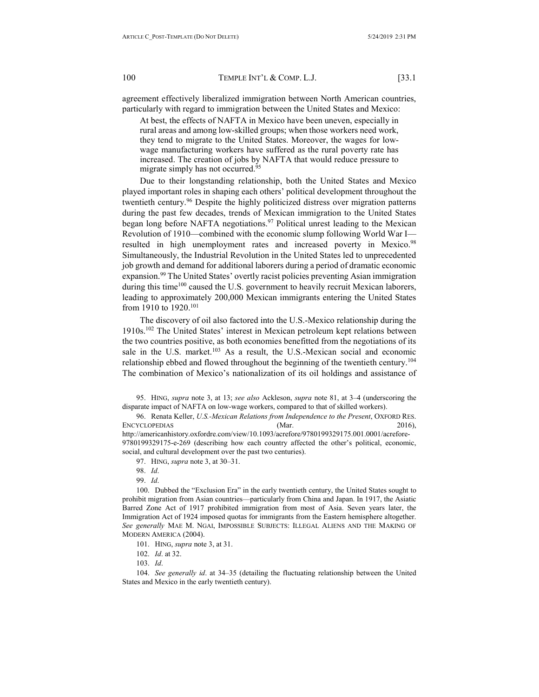agreement effectively liberalized immigration between North American countries, particularly with regard to immigration between the United States and Mexico:

At best, the effects of NAFTA in Mexico have been uneven, especially in rural areas and among low-skilled groups; when those workers need work, they tend to migrate to the United States. Moreover, the wages for lowwage manufacturing workers have suffered as the rural poverty rate has increased. The creation of jobs by NAFTA that would reduce pressure to migrate simply has not occurred.<sup>95</sup>

Due to their longstanding relationship, both the United States and Mexico played important roles in shaping each others' political development throughout the twentieth century.<sup>96</sup> Despite the highly politicized distress over migration patterns during the past few decades, trends of Mexican immigration to the United States began long before NAFTA negotiations.<sup>97</sup> Political unrest leading to the Mexican Revolution of 1910—combined with the economic slump following World War I resulted in high unemployment rates and increased poverty in Mexico.<sup>98</sup> Simultaneously, the Industrial Revolution in the United States led to unprecedented job growth and demand for additional laborers during a period of dramatic economic expansion.<sup>99</sup> The United States' overtly racist policies preventing Asian immigration during this time<sup>100</sup> caused the U.S. government to heavily recruit Mexican laborers, leading to approximately 200,000 Mexican immigrants entering the United States from 1910 to 1920.101

The discovery of oil also factored into the U.S.-Mexico relationship during the 1910s.102 The United States' interest in Mexican petroleum kept relations between the two countries positive, as both economies benefitted from the negotiations of its sale in the U.S. market.<sup>103</sup> As a result, the U.S.-Mexican social and economic relationship ebbed and flowed throughout the beginning of the twentieth century.<sup>104</sup> The combination of Mexico's nationalization of its oil holdings and assistance of

95. HING, *supra* note 3, at 13; *see also* Ackleson, *supra* note 81, at 3–4 (underscoring the disparate impact of NAFTA on low-wage workers, compared to that of skilled workers).

96. Renata Keller, *U.S.-Mexican Relations from Independence to the Present*, OXFORD RES. ENCYCLOPEDIAS (Mar. 2016), 2016), http://americanhistory.oxfordre.com/view/10.1093/acrefore/9780199329175.001.0001/acrefore-9780199329175-e-269 (describing how each country affected the other's political, economic, social, and cultural development over the past two centuries).

97. HING, *supra* note 3, at 30–31.

98. *Id*.

99. *Id*.

100. Dubbed the "Exclusion Era" in the early twentieth century, the United States sought to prohibit migration from Asian countries—particularly from China and Japan. In 1917, the Asiatic Barred Zone Act of 1917 prohibited immigration from most of Asia. Seven years later, the Immigration Act of 1924 imposed quotas for immigrants from the Eastern hemisphere altogether. *See generally* MAE M. NGAI, IMPOSSIBLE SUBJECTS: ILLEGAL ALIENS AND THE MAKING OF MODERN AMERICA (2004).

101. HING, *supra* note 3, at 31.

102. *Id*. at 32.

103. *Id*.

104. *See generally id*. at 34–35 (detailing the fluctuating relationship between the United States and Mexico in the early twentieth century).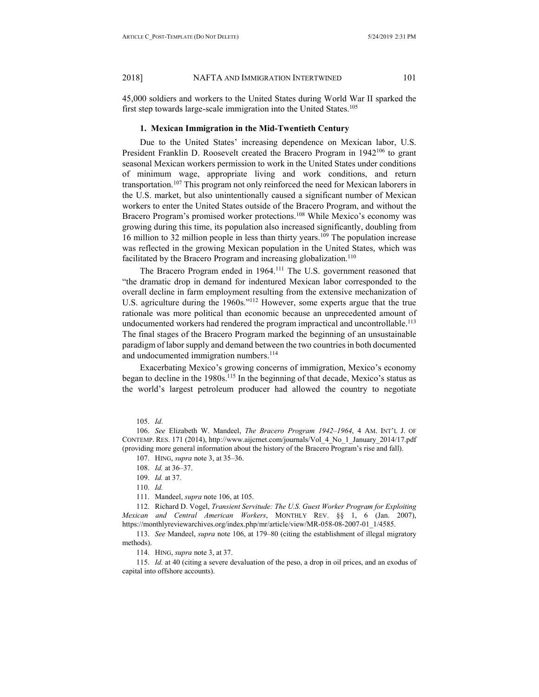45,000 soldiers and workers to the United States during World War II sparked the first step towards large-scale immigration into the United States.<sup>105</sup>

#### **1. Mexican Immigration in the Mid-Twentieth Century**

Due to the United States' increasing dependence on Mexican labor, U.S. President Franklin D. Roosevelt created the Bracero Program in 1942<sup>106</sup> to grant seasonal Mexican workers permission to work in the United States under conditions of minimum wage, appropriate living and work conditions, and return transportation.<sup>107</sup> This program not only reinforced the need for Mexican laborers in the U.S. market, but also unintentionally caused a significant number of Mexican workers to enter the United States outside of the Bracero Program, and without the Bracero Program's promised worker protections.<sup>108</sup> While Mexico's economy was growing during this time, its population also increased significantly, doubling from 16 million to 32 million people in less than thirty years.<sup>109</sup> The population increase was reflected in the growing Mexican population in the United States, which was facilitated by the Bracero Program and increasing globalization.<sup>110</sup>

The Bracero Program ended in 1964.<sup>111</sup> The U.S. government reasoned that "the dramatic drop in demand for indentured Mexican labor corresponded to the overall decline in farm employment resulting from the extensive mechanization of U.S. agriculture during the 1960s."112 However, some experts argue that the true rationale was more political than economic because an unprecedented amount of undocumented workers had rendered the program impractical and uncontrollable.<sup>113</sup> The final stages of the Bracero Program marked the beginning of an unsustainable paradigm of labor supply and demand between the two countries in both documented and undocumented immigration numbers.<sup>114</sup>

Exacerbating Mexico's growing concerns of immigration, Mexico's economy began to decline in the 1980s.<sup>115</sup> In the beginning of that decade, Mexico's status as the world's largest petroleum producer had allowed the country to negotiate

111. Mandeel, *supra* note 106, at 105.

112. Richard D. Vogel, *Transient Servitude: The U.S. Guest Worker Program for Exploiting Mexican and Central American Workers*, MONTHLY REV. §§ 1, 6 (Jan. 2007), https://monthlyreviewarchives.org/index.php/mr/article/view/MR-058-08-2007-01\_1/4585.

113. *See* Mandeel, *supra* note 106, at 179–80 (citing the establishment of illegal migratory methods).

114. HING, *supra* note 3, at 37.

115. *Id.* at 40 (citing a severe devaluation of the peso, a drop in oil prices, and an exodus of capital into offshore accounts).

<sup>105.</sup> *Id*.

<sup>106.</sup> *See* Elizabeth W. Mandeel, *The Bracero Program 1942–1964*, 4 AM. INT'L J. OF CONTEMP. RES. 171 (2014), http://www.aijcrnet.com/journals/Vol\_4\_No\_1\_January\_2014/17.pdf (providing more general information about the history of the Bracero Program's rise and fall).

<sup>107.</sup> HING, *supra* note 3, at 35–36.

<sup>108.</sup> *Id.* at 36–37.

<sup>109.</sup> *Id.* at 37.

<sup>110.</sup> *Id.*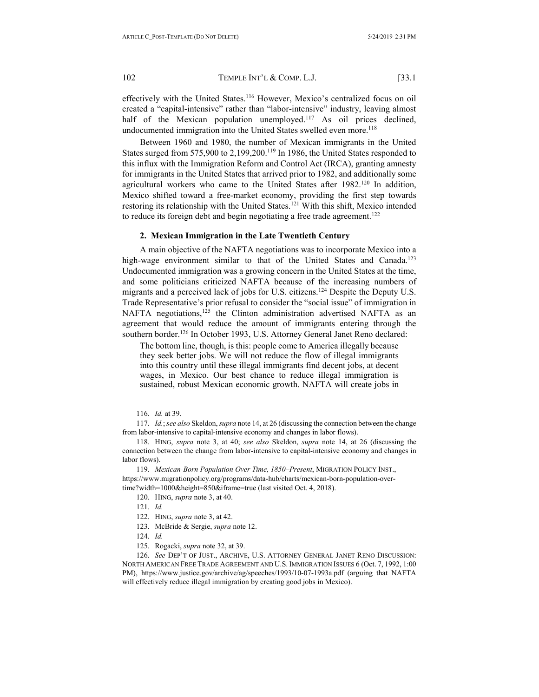effectively with the United States.<sup>116</sup> However, Mexico's centralized focus on oil created a "capital-intensive" rather than "labor-intensive" industry, leaving almost half of the Mexican population unemployed.<sup>117</sup> As oil prices declined, undocumented immigration into the United States swelled even more.<sup>118</sup>

Between 1960 and 1980, the number of Mexican immigrants in the United States surged from 575,900 to 2,199,200.<sup>119</sup> In 1986, the United States responded to this influx with the Immigration Reform and Control Act (IRCA), granting amnesty for immigrants in the United States that arrived prior to 1982, and additionally some agricultural workers who came to the United States after 1982.<sup>120</sup> In addition, Mexico shifted toward a free-market economy, providing the first step towards restoring its relationship with the United States.<sup>121</sup> With this shift, Mexico intended to reduce its foreign debt and begin negotiating a free trade agreement.<sup>122</sup>

#### **2. Mexican Immigration in the Late Twentieth Century**

A main objective of the NAFTA negotiations was to incorporate Mexico into a high-wage environment similar to that of the United States and Canada.<sup>123</sup> Undocumented immigration was a growing concern in the United States at the time, and some politicians criticized NAFTA because of the increasing numbers of migrants and a perceived lack of jobs for U.S. citizens.<sup>124</sup> Despite the Deputy U.S. Trade Representative's prior refusal to consider the "social issue" of immigration in NAFTA negotiations,<sup>125</sup> the Clinton administration advertised NAFTA as an agreement that would reduce the amount of immigrants entering through the southern border.<sup>126</sup> In October 1993, U.S. Attorney General Janet Reno declared:

The bottom line, though, is this: people come to America illegally because they seek better jobs. We will not reduce the flow of illegal immigrants into this country until these illegal immigrants find decent jobs, at decent wages, in Mexico. Our best chance to reduce illegal immigration is sustained, robust Mexican economic growth. NAFTA will create jobs in

117. *Id.*; *see also* Skeldon, *supra* note 14, at 26 (discussing the connection between the change from labor-intensive to capital-intensive economy and changes in labor flows).

118. HING, *supra* note 3, at 40; *see also* Skeldon, *supra* note 14, at 26 (discussing the connection between the change from labor-intensive to capital-intensive economy and changes in labor flows).

119. *Mexican-Born Population Over Time, 1850–Present*, MIGRATION POLICY INST., https://www.migrationpolicy.org/programs/data-hub/charts/mexican-born-population-overtime?width=1000&height=850&iframe=true (last visited Oct. 4, 2018).

- 120. HING, *supra* note 3, at 40.
- 121. *Id.*
- 122. HING, *supra* note 3, at 42.
- 123. McBride & Sergie, *supra* note 12.
- 124. *Id.*
- 125. Rogacki, *supra* note 32, at 39.

126. *See* DEP'T OF JUST., ARCHIVE, U.S. ATTORNEY GENERAL JANET RENO DISCUSSION: NORTH AMERICAN FREE TRADE AGREEMENT AND U.S. IMMIGRATION ISSUES 6 (Oct. 7, 1992, 1:00 PM), https://www.justice.gov/archive/ag/speeches/1993/10-07-1993a.pdf (arguing that NAFTA will effectively reduce illegal immigration by creating good jobs in Mexico).

<sup>116.</sup> *Id.* at 39.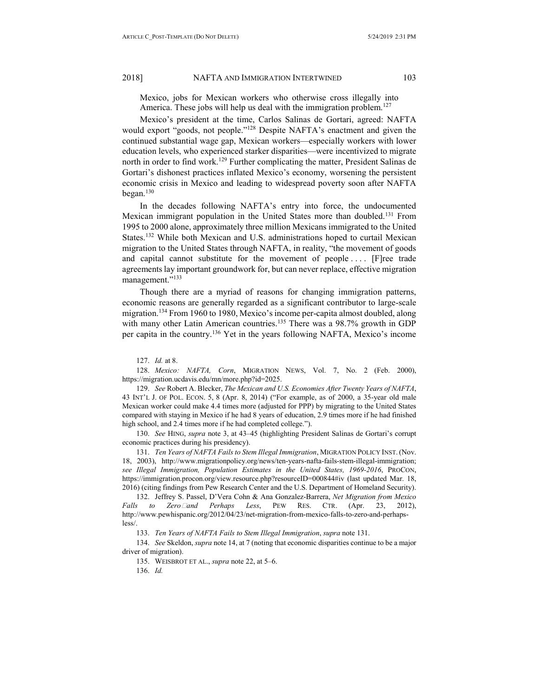Mexico, jobs for Mexican workers who otherwise cross illegally into America. These jobs will help us deal with the immigration problem.<sup>127</sup>

Mexico's president at the time, Carlos Salinas de Gortari, agreed: NAFTA would export "goods, not people."128 Despite NAFTA's enactment and given the continued substantial wage gap, Mexican workers—especially workers with lower education levels, who experienced starker disparities—were incentivized to migrate north in order to find work.<sup>129</sup> Further complicating the matter, President Salinas de Gortari's dishonest practices inflated Mexico's economy, worsening the persistent economic crisis in Mexico and leading to widespread poverty soon after NAFTA began.130

In the decades following NAFTA's entry into force, the undocumented Mexican immigrant population in the United States more than doubled.131 From 1995 to 2000 alone, approximately three million Mexicans immigrated to the United States.132 While both Mexican and U.S. administrations hoped to curtail Mexican migration to the United States through NAFTA, in reality, "the movement of goods and capital cannot substitute for the movement of people .... [F]ree trade agreements lay important groundwork for, but can never replace, effective migration management."<sup>133</sup>

Though there are a myriad of reasons for changing immigration patterns, economic reasons are generally regarded as a significant contributor to large-scale migration.<sup>134</sup> From 1960 to 1980, Mexico's income per-capita almost doubled, along with many other Latin American countries.<sup>135</sup> There was a 98.7% growth in GDP per capita in the country.136 Yet in the years following NAFTA, Mexico's income

127. *Id.* at 8.

128. *Mexico: NAFTA, Corn*, MIGRATION NEWS, Vol. 7, No. 2 (Feb. 2000), https://migration.ucdavis.edu/mn/more.php?id=2025.

129. *See* Robert A. Blecker, *The Mexican and U.S. Economies After Twenty Years of NAFTA*, 43 INT'L J. OF POL. ECON. 5, 8 (Apr. 8, 2014) ("For example, as of 2000, a 35-year old male Mexican worker could make 4.4 times more (adjusted for PPP) by migrating to the United States compared with staying in Mexico if he had 8 years of education, 2.9 times more if he had finished high school, and 2.4 times more if he had completed college.").

130. *See* HING, *supra* note 3, at 43–45 (highlighting President Salinas de Gortari's corrupt economic practices during his presidency).

131. *Ten Years of NAFTA Fails to Stem Illegal Immigration*, MIGRATION POLICY INST. (Nov. 18, 2003), [http://www.migrationpolicy.org/news/ten-years-nafta-fails-stem-illegal-immigration;](http://www.migrationpolicy.org/news/ten-years-nafta-fails-stem-illegal-immigration)  *see Illegal Immigration, Population Estimates in the United States, 1969-2016*, PROCON, https://immigration.procon.org/view.resource.php?resourceID=000844#iv (last updated Mar. 18, 2016) (citing findings from Pew Research Center and the U.S. Department of Homeland Security).

132. Jeffrey S. Passel, D'Vera Cohn & Ana Gonzalez-Barrera, *Net Migration from Mexico Falls to Zero*⎯*and Perhaps Less*, PEW RES. CTR. (Apr. 23, 2012), http://www.pewhispanic.org/2012/04/23/net-migration-from-mexico-falls-to-zero-and-perhapsless/.

133. *Ten Years of NAFTA Fails to Stem Illegal Immigration*, *supra* note 131.

134. *See* Skeldon, *supra* note 14, at 7 (noting that economic disparities continue to be a major driver of migration).

135. WEISBROT ET AL., *supra* note 22, at 5–6.

136. *Id.*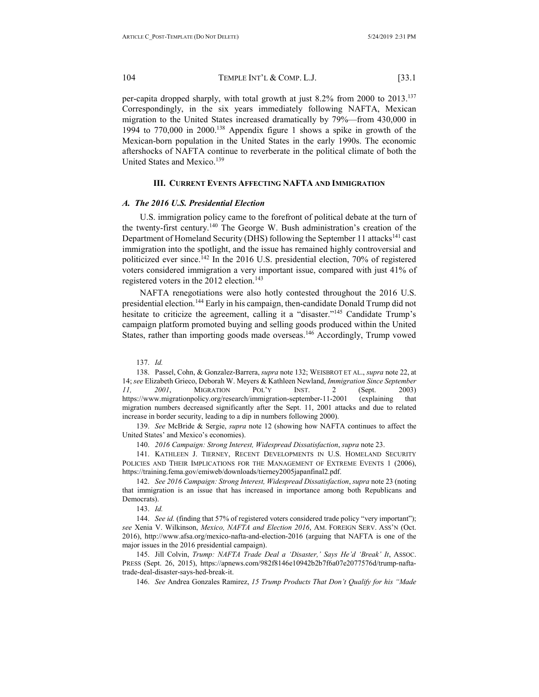104 TEMPLE INT'L & COMP. L.J. [33.1

per-capita dropped sharply, with total growth at just 8.2% from 2000 to 2013.137 Correspondingly, in the six years immediately following NAFTA, Mexican migration to the United States increased dramatically by 79%—from 430,000 in 1994 to 770,000 in 2000.138 Appendix figure 1 shows a spike in growth of the Mexican-born population in the United States in the early 1990s. The economic aftershocks of NAFTA continue to reverberate in the political climate of both the United States and Mexico.<sup>139</sup>

#### **III. CURRENT EVENTS AFFECTING NAFTA AND IMMIGRATION**

#### <span id="page-15-1"></span><span id="page-15-0"></span>*A. The 2016 U.S. Presidential Election*

U.S. immigration policy came to the forefront of political debate at the turn of the twenty-first century.140 The George W. Bush administration's creation of the Department of Homeland Security (DHS) following the September 11 attacks<sup>141</sup> cast immigration into the spotlight, and the issue has remained highly controversial and politicized ever since.<sup>142</sup> In the 2016 U.S. presidential election, 70% of registered voters considered immigration a very important issue, compared with just 41% of registered voters in the 2012 election.<sup>143</sup>

NAFTA renegotiations were also hotly contested throughout the 2016 U.S. presidential election.144 Early in his campaign, then-candidate Donald Trump did not hesitate to criticize the agreement, calling it a "disaster."<sup>145</sup> Candidate Trump's campaign platform promoted buying and selling goods produced within the United States, rather than importing goods made overseas.<sup>146</sup> Accordingly, Trump vowed

137. *Id.*

138. Passel, Cohn, & Gonzalez-Barrera, *supra* note 132; WEISBROT ET AL., *supra* note 22, at 14; *see* Elizabeth Grieco, Deborah W. Meyers & Kathleen Newland, *Immigration Since September 11, 2001*, MIGRATION POL'Y INST. 2 (Sept. 2003) https://www.migrationpolicy.org/research/immigration-september-11-2001 (explaining that migration numbers decreased significantly after the Sept. 11, 2001 attacks and due to related increase in border security, leading to a dip in numbers following 2000).

139. *See* McBride & Sergie, *supra* note 12 (showing how NAFTA continues to affect the United States' and Mexico's economies).

140. *2016 Campaign: Strong Interest, Widespread Dissatisfaction*, *supra* note 23.

141. KATHLEEN J. TIERNEY, RECENT DEVELOPMENTS IN U.S. HOMELAND SECURITY POLICIES AND THEIR IMPLICATIONS FOR THE MANAGEMENT OF EXTREME EVENTS 1 (2006), [https://training.fema.gov/emiweb/downloads/tierney2005japanfinal2.pdf.](https://training.fema.gov/emiweb/downloads/tierney2005japanfinal2.pdf)

142. *See 2016 Campaign: Strong Interest, Widespread Dissatisfaction*, *supra* note 23 (noting that immigration is an issue that has increased in importance among both Republicans and Democrats).

143. *Id.*

144. *See id.* (finding that 57% of registered voters considered trade policy "very important"); *see* Xenia V. Wilkinson, *Mexico, NAFTA and Election 2016*, AM. FOREIGN SERV. ASS'N (Oct. 2016), http://www.afsa.org/mexico-nafta-and-election-2016 (arguing that NAFTA is one of the major issues in the 2016 presidential campaign).

145. Jill Colvin, *Trump: NAFTA Trade Deal a 'Disaster,' Says He'd 'Break' It*, ASSOC. PRESS (Sept. 26, 2015), https://apnews.com/982f8146e10942b2b7f6a07e2077576d/trump-naftatrade-deal-disaster-says-hed-break-it.

146. *See* Andrea Gonzales Ramirez, *15 Trump Products That Don't Qualify for his "Made*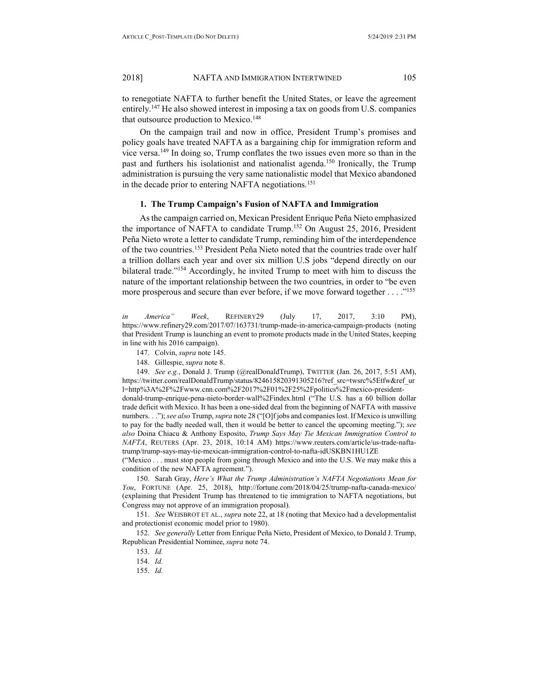to renegotiate NAFTA to further benefit the United States, or leave the agreement entirely.147 He also showed interest in imposing a tax on goods from U.S. companies that outsource production to Mexico.<sup>148</sup>

On the campaign trail and now in office, President Trump's promises and policy goals have treated NAFTA as a bargaining chip for immigration reform and vice versa.149 In doing so, Trump conflates the two issues even more so than in the past and furthers his isolationist and nationalist agenda.<sup>150</sup> Ironically, the Trump administration is pursuing the very same nationalistic model that Mexico abandoned in the decade prior to entering NAFTA negotiations.<sup>151</sup>

#### **1. The Trump Campaign's Fusion of NAFTA and Immigration**

As the campaign carried on, Mexican President Enrique Peña Nieto emphasized the importance of NAFTA to candidate Trump.<sup>152</sup> On August 25, 2016, President Peña Nieto wrote a letter to candidate Trump, reminding him of the interdependence of the two countries.<sup>153</sup> President Peña Nieto noted that the countries trade over half a trillion dollars each year and over six million U.S jobs "depend directly on our bilateral trade."<sup>154</sup> Accordingly, he invited Trump to meet with him to discuss the nature of the important relationship between the two countries, in order to "be even more prosperous and secure than ever before, if we move forward together . . . ."155

*in America" Week*, REFINERY29 (July 17, 2017, 3:10 PM), https://www.refinery29.com/2017/07/163731/trump-made-in-america-campaign-products (noting that President Trump is launching an event to promote products made in the United States, keeping in line with his 2016 campaign).

- 147. Colvin, *supra* note 145.
- 148. Gillespie, *supra* note 8.

149. *See e.g.*, Donald J. Trump (@realDonaldTrump), TWITTER (Jan. 26, 2017, 5:51 AM), https://twitter.com/realDonaldTrump/status/824615820391305216?ref\_src=twsrc%5Etfw&ref\_ur l=http%3A%2F%2Fwww.cnn.com%2F2017%2F01%2F25%2Fpolitics%2Fmexico-president-

donald-trump-enrique-pena-nieto-border-wall%2Findex.html ("The U.S. has a 60 billion dollar trade deficit with Mexico. It has been a one-sided deal from the beginning of NAFTA with massive numbers. . ."); *see also* Trump, *supra* note 28 ("[O]f jobs and companies lost. If Mexico is unwilling to pay for the badly needed wall, then it would be better to cancel the upcoming meeting."); *see also* Doina Chiacu & Anthony Esposito, *Trump Says May Tie Mexican Immigration Control to NAFTA*, REUTERS (Apr. 23, 2018, 10:14 AM) https://www.reuters.com/article/us-trade-naftatrump/trump-says-may-tie-mexican-immigration-control-to-nafta-idUSKBN1HU1ZE

("Mexico . . . must stop people from going through Mexico and into the U.S. We may make this a condition of the new NAFTA agreement.").

150. Sarah Gray, *Here's What the Trump Administration's NAFTA Negotiations Mean for You*, FORTUNE (Apr. 25, 2018), http://fortune.com/2018/04/25/trump-nafta-canada-mexico/ (explaining that President Trump has threatened to tie immigration to NAFTA negotiations, but Congress may not approve of an immigration proposal).

151. *See* WEISBROT ET AL., *supra* note 22, at 18 (noting that Mexico had a developmentalist and protectionist economic model prior to 1980).

152. *See generally* Letter from Enrique Peña Nieto, President of Mexico, to Donald J. Trump, Republican Presidential Nominee, *supra* note 74.

- 154. *Id.*
- 155. *Id.*

<sup>153.</sup> *Id.*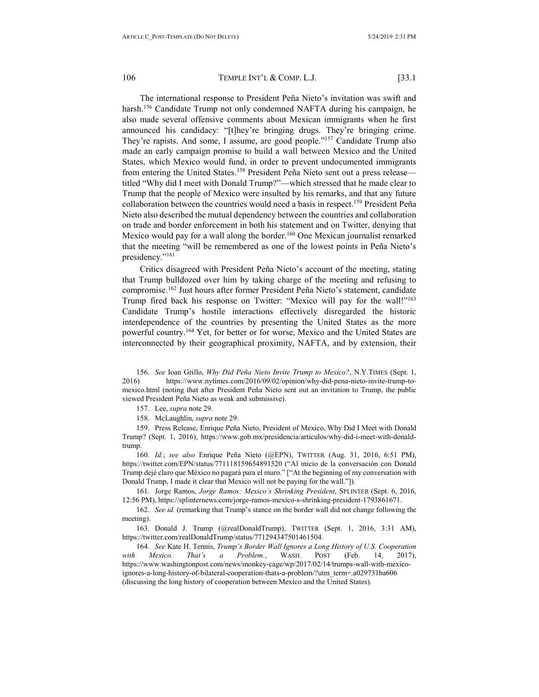The international response to President Peña Nieto's invitation was swift and harsh.<sup>156</sup> Candidate Trump not only condemned NAFTA during his campaign, he also made several offensive comments about Mexican immigrants when he first announced his candidacy: "[t]hey're bringing drugs. They're bringing crime. They're rapists. And some, I assume, are good people."157 Candidate Trump also made an early campaign promise to build a wall between Mexico and the United States, which Mexico would fund, in order to prevent undocumented immigrants from entering the United States.<sup>158</sup> President Peña Nieto sent out a press release titled "Why did I meet with Donald Trump?"—which stressed that he made clear to Trump that the people of Mexico were insulted by his remarks, and that any future collaboration between the countries would need a basis in respect.159 President Peña Nieto also described the mutual dependency between the countries and collaboration on trade and border enforcement in both his statement and on Twitter, denying that Mexico would pay for a wall along the border.<sup>160</sup> One Mexican journalist remarked that the meeting "will be remembered as one of the lowest points in Peña Nieto's presidency."<sup>161</sup>

Critics disagreed with President Peña Nieto's account of the meeting, stating that Trump bulldozed over him by taking charge of the meeting and refusing to compromise.162 Just hours after former President Peña Nieto's statement, candidate Trump fired back his response on Twitter: "Mexico will pay for the wall!"163 Candidate Trump's hostile interactions effectively disregarded the historic interdependence of the countries by presenting the United States as the more powerful country.164 Yet, for better or for worse, Mexico and the United States are interconnected by their geographical proximity, NAFTA, and by extension, their

156. *See* Ioan Grillo, *Why Did Peña Nieto Invite Trump to Mexico?*, N.Y.TIMES (Sept. 1, 2016) https://www.nytimes.com/2016/09/02/opinion/why-did-pena-nieto-invite-trump-tomexico.html (noting that after President Peña Nieto sent out an invitation to Trump, the public viewed President Peña Nieto as weak and submissive).

157. Lee, *supra* note 29.

158. McLaughlin, *supra* note 29.

159. Press Release, Enrique Peña Nieto, President of Mexico, Why Did I Meet with Donald Trump? (Sept. 1, 2016), https://www.gob.mx/presidencia/articulos/why-did-i-meet-with-donaldtrump.

160. *Id.*; *see also* Enrique Peña Nieto (@EPN), TWITTER (Aug. 31, 2016, 6:51 PM), https://twitter.com/EPN/status/771118159654891520 ("Al inicio de la conversación con Donald Trump dejé claro que México no pagará para el muro." ["At the beginning of my conversation with Donald Trump, I made it clear that Mexico will not be paying for the wall."]).

161. Jorge Ramos, *Jorge Ramos: Mexico's Shrinking President*, SPLINTER (Sept. 6, 2016, 12:56 PM), https://splinternews.com/jorge-ramos-mexico-s-shrinking-president-1793861671.

162. *See id.* (remarking that Trump's stance on the border wall did not change following the meeting).

163. Donald J. Trump (@realDonaldTrump), TWITTER (Sept. 1, 2016, 3:31 AM), [https://twitter.com/realDonaldTrump/status/771294347501461504.](https://twitter.com/realDonaldTrump/status/771294347501461504)

164. *See* Kate H. Tennis, *Trump's Border Wall Ignores a Long History of U.S. Cooperation with Mexico. That's a Problem.*, WASH. POST (Feb. 14, 2017), https://www.washingtonpost.com/news/monkey-cage/wp/2017/02/14/trumps-wall-with-mexicoignores-a-long-history-of-bilateral-cooperation-thats-a-problem/?utm\_term=.a029731ba606 (discussing the long history of cooperation between Mexico and the United States).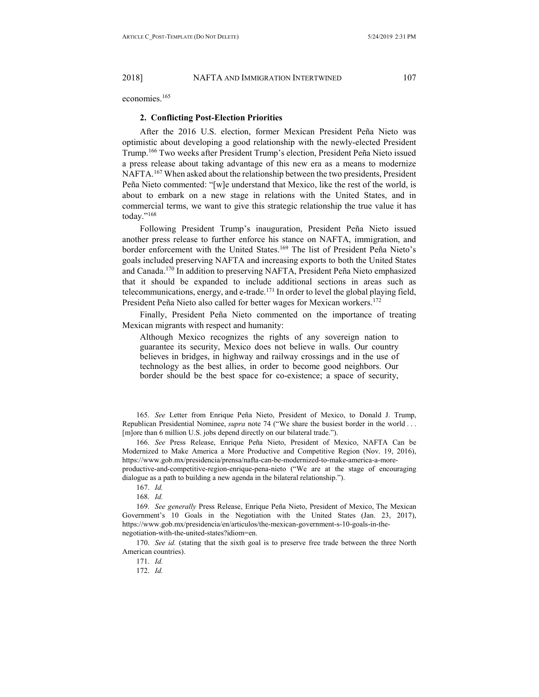economies.165

#### **2. Conflicting Post-Election Priorities**

After the 2016 U.S. election, former Mexican President Peña Nieto was optimistic about developing a good relationship with the newly-elected President Trump.166 Two weeks after President Trump's election, President Peña Nieto issued a press release about taking advantage of this new era as a means to modernize NAFTA.<sup>167</sup> When asked about the relationship between the two presidents, President Peña Nieto commented: "[w]e understand that Mexico, like the rest of the world, is about to embark on a new stage in relations with the United States, and in commercial terms, we want to give this strategic relationship the true value it has today."168

Following President Trump's inauguration, President Peña Nieto issued another press release to further enforce his stance on NAFTA, immigration, and border enforcement with the United States.<sup>169</sup> The list of President Peña Nieto's goals included preserving NAFTA and increasing exports to both the United States and Canada.170 In addition to preserving NAFTA, President Peña Nieto emphasized that it should be expanded to include additional sections in areas such as telecommunications, energy, and e-trade.<sup>171</sup> In order to level the global playing field, President Peña Nieto also called for better wages for Mexican workers.<sup>172</sup>

Finally, President Peña Nieto commented on the importance of treating Mexican migrants with respect and humanity:

Although Mexico recognizes the rights of any sovereign nation to guarantee its security, Mexico does not believe in walls. Our country believes in bridges, in highway and railway crossings and in the use of technology as the best allies, in order to become good neighbors. Our border should be the best space for co-existence; a space of security,

165. *See* Letter from Enrique Peña Nieto, President of Mexico, to Donald J. Trump, Republican Presidential Nominee, *supra* note 74 ("We share the busiest border in the world . . . [m]ore than 6 million U.S. jobs depend directly on our bilateral trade.").

166. *See* Press Release, Enrique Peña Nieto, President of Mexico, NAFTA Can be Modernized to Make America a More Productive and Competitive Region (Nov. 19, 2016), https://www.gob.mx/presidencia/prensa/nafta-can-be-modernized-to-make-america-a-moreproductive-and-competitive-region-enrique-pena-nieto ("We are at the stage of encouraging dialogue as a path to building a new agenda in the bilateral relationship.").

167. *Id.*

168. *Id.*

169. *See generally* Press Release, Enrique Peña Nieto, President of Mexico, The Mexican Government's 10 Goals in the Negotiation with the United States (Jan. 23, 2017), https://www.gob.mx/presidencia/en/articulos/the-mexican-government-s-10-goals-in-thenegotiation-with-the-united-states?idiom=en.

170. *See id.* (stating that the sixth goal is to preserve free trade between the three North American countries).

172. *Id.*

<sup>171.</sup> *Id.*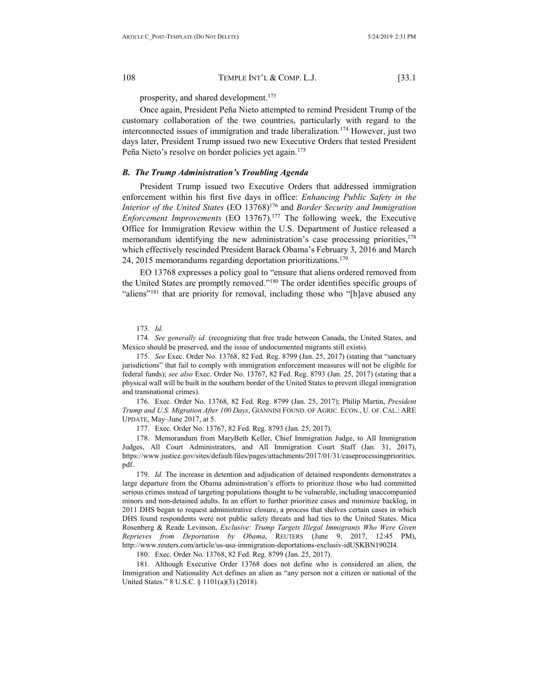prosperity, and shared development.<sup>173</sup>

Once again, President Peña Nieto attempted to remind President Trump of the customary collaboration of the two countries, particularly with regard to the interconnected issues of immigration and trade liberalization.<sup>174</sup> However, just two days later, President Trump issued two new Executive Orders that tested President Peña Nieto's resolve on border policies yet again.<sup>175</sup>

## <span id="page-19-0"></span>*B. The Trump Administration's Troubling Agenda*

President Trump issued two Executive Orders that addressed immigration enforcement within his first five days in office: *Enhancing Public Safety in the Interior of the United States* (EO 13768)176 and *Border Security and Immigration Enforcement Improvements* (EO 13767).<sup>177</sup> The following week, the Executive Office for Immigration Review within the U.S. Department of Justice released a memorandum identifying the new administration's case processing priorities,  $178$ which effectively rescinded President Barack Obama's February 3, 2016 and March 24, 2015 memorandums regarding deportation prioritizations.<sup>179</sup>

EO 13768 expresses a policy goal to "ensure that aliens ordered removed from the United States are promptly removed."180 The order identifies specific groups of "aliens"<sup>181</sup> that are priority for removal, including those who "[h]ave abused any

173. *Id.*

174. *See generally id.* (recognizing that free trade between Canada, the United States, and Mexico should be preserved, and the issue of undocumented migrants still exists)*.*

175. *See* Exec. Order No. 13768, 82 Fed. Reg. 8799 (Jan. 25, 2017) (stating that "sanctuary jurisdictions" that fail to comply with immigration enforcement measures will not be eligible for federal funds); *see also* Exec. Order No. 13767, 82 Fed. Reg. 8793 (Jan. 25, 2017) (stating that a physical wall will be built in the southern border of the United States to prevent illegal immigration and transnational crimes).

176. Exec. Order No. 13768, 82 Fed. Reg. 8799 (Jan. 25, 2017); Philip Martin, *President Trump and U.S. Migration After 100 Days*, GIANNINI FOUND. OF AGRIC. ECON., U. OF. CAL.: ARE UPDATE, May–June 2017, at 5.

177. Exec. Order No. 13767, 82 Fed. Reg. 8793 (Jan. 25, 2017).

178. Memorandum from MaryBeth Keller, Chief Immigration Judge, to All Immigration Judges, All Court Administrators, and All Immigration Court Staff (Jan. 31, 2017), https://www.justice.gov/sites/default/files/pages/attachments/2017/01/31/caseprocessingpriorities. pdf.

179. *Id.* The increase in detention and adjudication of detained respondents demonstrates a large departure from the Obama administration's efforts to prioritize those who had committed serious crimes instead of targeting populations thought to be vulnerable, including unaccompanied minors and non-detained adults. In an effort to further prioritize cases and minimize backlog, in 2011 DHS began to request administrative closure, a process that shelves certain cases in which DHS found respondents were not public safety threats and had ties to the United States. Mica Rosenberg & Reade Levinson, *Exclusive: Trump Targets Illegal Immigrants Who Were Given Reprieves from Deportation by Obama*, REUTERS (June 9, 2017, 12:45 PM), [http://www.reuters.com/article/us-usa-immigration-deportations-exclusiv-idUSKBN1902I4.](http://www.reuters.com/article/us-usa-immigration-deportations-exclusiv-idUSKBN1902I4)

180. Exec. Order No. 13768, 82 Fed. Reg. 8799 (Jan. 25, 2017).

181. Although Executive Order 13768 does not define who is considered an alien, the Immigration and Nationality Act defines an alien as "any person not a citizen or national of the United States." 8 U.S.C. § 1101(a)(3) (2018).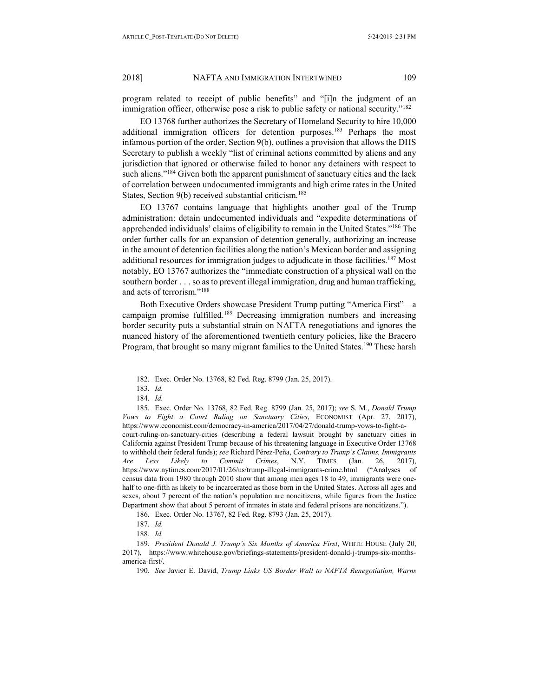program related to receipt of public benefits" and "[i]n the judgment of an immigration officer, otherwise pose a risk to public safety or national security."182

EO 13768 further authorizes the Secretary of Homeland Security to hire 10,000 additional immigration officers for detention purposes.<sup>183</sup> Perhaps the most infamous portion of the order, Section 9(b), outlines a provision that allows the DHS Secretary to publish a weekly "list of criminal actions committed by aliens and any jurisdiction that ignored or otherwise failed to honor any detainers with respect to such aliens."<sup>184</sup> Given both the apparent punishment of sanctuary cities and the lack of correlation between undocumented immigrants and high crime rates in the United States, Section 9(b) received substantial criticism.<sup>185</sup>

EO 13767 contains language that highlights another goal of the Trump administration: detain undocumented individuals and "expedite determinations of apprehended individuals' claims of eligibility to remain in the United States."186 The order further calls for an expansion of detention generally, authorizing an increase in the amount of detention facilities along the nation's Mexican border and assigning additional resources for immigration judges to adjudicate in those facilities.<sup>187</sup> Most notably, EO 13767 authorizes the "immediate construction of a physical wall on the southern border . . . so as to prevent illegal immigration, drug and human trafficking, and acts of terrorism."188

Both Executive Orders showcase President Trump putting "America First"—a campaign promise fulfilled.<sup>189</sup> Decreasing immigration numbers and increasing border security puts a substantial strain on NAFTA renegotiations and ignores the nuanced history of the aforementioned twentieth century policies, like the Bracero Program, that brought so many migrant families to the United States.<sup>190</sup> These harsh

182. Exec. Order No. 13768, 82 Fed. Reg. 8799 (Jan. 25, 2017).

185. Exec. Order No. 13768, 82 Fed. Reg. 8799 (Jan. 25, 2017); *see* S. M., *Donald Trump Vows to Fight a Court Ruling on Sanctuary Cities*, ECONOMIST (Apr. 27, 2017), https://www.economist.com/democracy-in-america/2017/04/27/donald-trump-vows-to-fight-acourt-ruling-on-sanctuary-cities (describing a federal lawsuit brought by sanctuary cities in California against President Trump because of his threatening language in Executive Order 13768 to withhold their federal funds); *see* Richard Pérez-Peña, *Contrary to Trump's Claims, Immigrants Are Less Likely to Commit Crimes*, N.Y. TIMES (Jan. 26, 2017), https://www.nytimes.com/2017/01/26/us/trump-illegal-immigrants-crime.html ("Analyses of census data from 1980 through 2010 show that among men ages 18 to 49, immigrants were onehalf to one-fifth as likely to be incarcerated as those born in the United States. Across all ages and sexes, about 7 percent of the nation's population are noncitizens, while figures from [the Justice](https://www.bjs.gov/content/pub/pdf/p15.pdf)  [Department](https://www.bjs.gov/content/pub/pdf/p15.pdf) show that about 5 percent of inmates in state and federal prisons are noncitizens.").

186. Exec. Order No. 13767, 82 Fed. Reg. 8793 (Jan. 25, 2017).

189. *President Donald J. Trump's Six Months of America First*, WHITE HOUSE (July 20, 2017), [https://www.whitehouse.gov/briefings-statements/president-donald-j-trumps-six-months](https://www.whitehouse.gov/briefings-statements/president-donald-j-trumps-six-months-america-first/)[america-first/.](https://www.whitehouse.gov/briefings-statements/president-donald-j-trumps-six-months-america-first/)

190. *See* Javier E. David, *Trump Links US Border Wall to NAFTA Renegotiation, Warns* 

<sup>183.</sup> *Id.*

<sup>184.</sup> *Id.*

<sup>187.</sup> *Id.*

<sup>188.</sup> *Id.*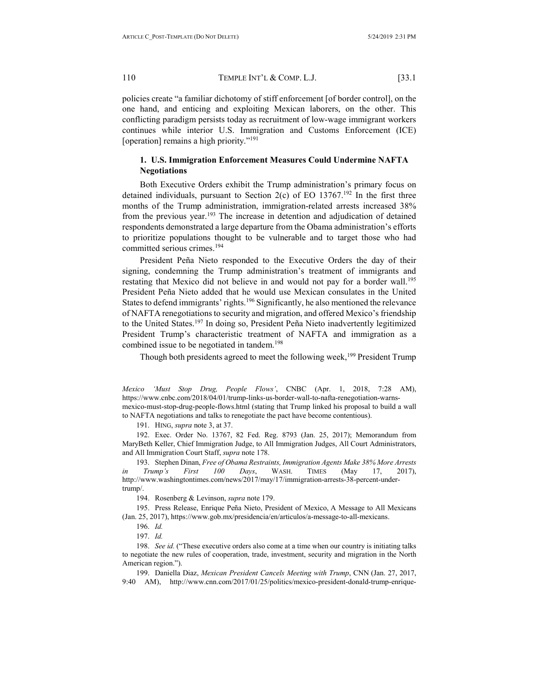policies create "a familiar dichotomy of stiff enforcement [of border control], on the one hand, and enticing and exploiting Mexican laborers, on the other. This conflicting paradigm persists today as recruitment of low-wage immigrant workers continues while interior U.S. Immigration and Customs Enforcement (ICE) [operation] remains a high priority."191

## **1. U.S. Immigration Enforcement Measures Could Undermine NAFTA Negotiations**

Both Executive Orders exhibit the Trump administration's primary focus on detained individuals, pursuant to Section  $2(c)$  of EO 13767.<sup>192</sup> In the first three months of the Trump administration, immigration-related arrests increased 38% from the previous year.193 The increase in detention and adjudication of detained respondents demonstrated a large departure from the Obama administration's efforts to prioritize populations thought to be vulnerable and to target those who had committed serious crimes.<sup>194</sup>

President Peña Nieto responded to the Executive Orders the day of their signing, condemning the Trump administration's treatment of immigrants and restating that Mexico did not believe in and would not pay for a border wall.<sup>195</sup> President Peña Nieto added that he would use Mexican consulates in the United States to defend immigrants' rights.<sup>196</sup> Significantly, he also mentioned the relevance of NAFTA renegotiations to security and migration, and offered Mexico's friendship to the United States.<sup>197</sup> In doing so, President Peña Nieto inadvertently legitimized President Trump's characteristic treatment of NAFTA and immigration as a combined issue to be negotiated in tandem.<sup>198</sup>

Though both presidents agreed to meet the following week,<sup>199</sup> President Trump

*Mexico 'Must Stop Drug, People Flows'*, CNBC (Apr. 1, 2018, 7:28 AM), https://www.cnbc.com/2018/04/01/trump-links-us-border-wall-to-nafta-renegotiation-warnsmexico-must-stop-drug-people-flows.html (stating that Trump linked his proposal to build a wall to NAFTA negotiations and talks to renegotiate the pact have become contentious).

191. HING, *supra* note 3, at 37.

192. Exec. Order No. 13767, 82 Fed. Reg. 8793 (Jan. 25, 2017); Memorandum from MaryBeth Keller, Chief Immigration Judge, to All Immigration Judges, All Court Administrators, and All Immigration Court Staff, *supra* note 178.

193. Stephen Dinan, *Free of Obama Restraints, Immigration Agents Make 38% More Arrests in Trump's First 100 Days*, WASH. TIMES (May 17, 2017), http://www.washingtontimes.com/news/2017/may/17/immigration-arrests-38-percent-undertrump/.

194. Rosenberg & Levinson, *supra* note 179.

195. Press Release, Enrique Peña Nieto, President of Mexico, A Message to All Mexicans (Jan. 25, 2017), https://www.gob.mx/presidencia/en/articulos/a-message-to-all-mexicans.

198. *See id.* ("These executive orders also come at a time when our country is initiating talks to negotiate the new rules of cooperation, trade, investment, security and migration in the North American region.").

199. Daniella Diaz, *Mexican President Cancels Meeting with Trump*, CNN (Jan. 27, 2017, 9:40 AM), http://www.cnn.com/2017/01/25/politics/mexico-president-donald-trump-enrique-

<sup>196.</sup> *Id.*

<sup>197.</sup> *Id.*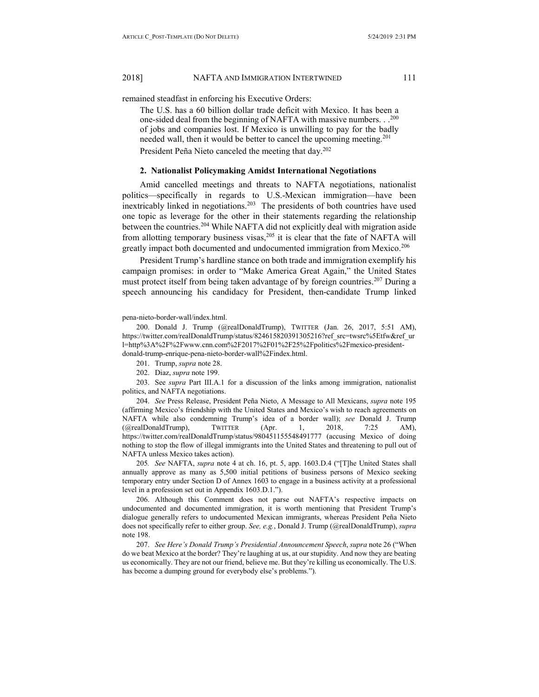remained steadfast in enforcing his Executive Orders:

The U.S. has a 60 billion dollar trade deficit with Mexico. It has been a one-sided deal from the beginning of NAFTA with massive numbers.  $.$  .<sup>200</sup> of jobs and companies lost. If Mexico is unwilling to pay for the badly needed wall, then it would be better to cancel the upcoming meeting.<sup>201</sup> President Peña Nieto canceled the meeting that day.<sup>202</sup>

#### **2. Nationalist Policymaking Amidst International Negotiations**

Amid cancelled meetings and threats to NAFTA negotiations, nationalist politics—specifically in regards to U.S.-Mexican immigration—have been inextricably linked in negotiations.<sup>203</sup> The presidents of both countries have used one topic as leverage for the other in their statements regarding the relationship between the countries.<sup>204</sup> While NAFTA did not explicitly deal with migration aside from allotting temporary business visas, $2^{05}$  it is clear that the fate of NAFTA will greatly impact both documented and undocumented immigration from Mexico.<sup>206</sup>

President Trump's hardline stance on both trade and immigration exemplify his campaign promises: in order to "Make America Great Again," the United States must protect itself from being taken advantage of by foreign countries.<sup>207</sup> During a speech announcing his candidacy for President, then-candidate Trump linked

pena-nieto-border-wall/index.html.

200. Donald J. Trump (@realDonaldTrump), TWITTER (Jan. 26, 2017, 5:51 AM), https://twitter.com/realDonaldTrump/status/824615820391305216?ref\_src=twsrc%5Etfw&ref\_ur l=http%3A%2F%2Fwww.cnn.com%2F2017%2F01%2F25%2Fpolitics%2Fmexico-presidentdonald-trump-enrique-pena-nieto-border-wall%2Findex.html.

201. Trump, *supra* note 28.

202. Diaz, *supra* note 199.

203. See *supra* Part III.A.1 for a discussion of the links among immigration, nationalist politics, and NAFTA negotiations.

204. *See* Press Release, President Peña Nieto, A Message to All Mexicans, *supra* note 195 (affirming Mexico's friendship with the United States and Mexico's wish to reach agreements on NAFTA while also condemning Trump's idea of a border wall); *see* Donald J. Trump (@realDonaldTrump), TWITTER (Apr. 1, 2018, 7:25 AM), https://twitter.com/realDonaldTrump/status/980451155548491777 (accusing Mexico of doing nothing to stop the flow of illegal immigrants into the United States and threatening to pull out of NAFTA unless Mexico takes action).

205*. See* NAFTA, *supra* note 4 at ch. 16, pt. 5, app. 1603.D.4 ("[T]he United States shall annually approve as many as 5,500 initial petitions of business persons of Mexico seeking temporary entry under Section D of Annex 1603 to engage in a business activity at a professional level in a profession set out in Appendix 1603.D.1.").

206. Although this Comment does not parse out NAFTA's respective impacts on undocumented and documented immigration, it is worth mentioning that President Trump's dialogue generally refers to undocumented Mexican immigrants, whereas President Peña Nieto does not specifically refer to either group. *See, e.g.*, Donald J. Trump (@realDonaldTrump), *supra* note 198.

207. *See Here's Donald Trump's Presidential Announcement Speech*, *supra* note 26 ("When do we beat Mexico at the border? They're laughing at us, at our stupidity. And now they are beating us economically. They are not our friend, believe me. But they're killing us economically. The U.S. has become a dumping ground for everybody else's problems.").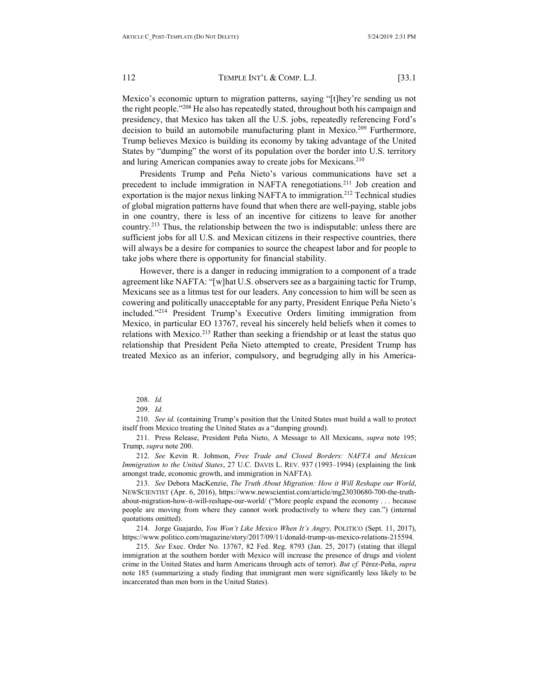Mexico's economic upturn to migration patterns, saying "[t]hey're sending us not the right people."208 He also has repeatedly stated, throughout both his campaign and presidency, that Mexico has taken all the U.S. jobs, repeatedly referencing Ford's decision to build an automobile manufacturing plant in Mexico.<sup>209</sup> Furthermore, Trump believes Mexico is building its economy by taking advantage of the United States by "dumping" the worst of its population over the border into U.S. territory and luring American companies away to create jobs for Mexicans.<sup>210</sup>

Presidents Trump and Peña Nieto's various communications have set a precedent to include immigration in NAFTA renegotiations.<sup>211</sup> Job creation and exportation is the major nexus linking NAFTA to immigration.<sup>212</sup> Technical studies of global migration patterns have found that when there are well-paying, stable jobs in one country, there is less of an incentive for citizens to leave for another country.213 Thus, the relationship between the two is indisputable: unless there are sufficient jobs for all U.S. and Mexican citizens in their respective countries, there will always be a desire for companies to source the cheapest labor and for people to take jobs where there is opportunity for financial stability.

However, there is a danger in reducing immigration to a component of a trade agreement like NAFTA: "[w]hat U.S. observers see as a bargaining tactic for Trump, Mexicans see as a litmus test for our leaders. Any concession to him will be seen as cowering and politically unacceptable for any party, President Enrique Peña Nieto's included."214 President Trump's Executive Orders limiting immigration from Mexico, in particular EO 13767, reveal his sincerely held beliefs when it comes to relations with Mexico.<sup>215</sup> Rather than seeking a friendship or at least the status quo relationship that President Peña Nieto attempted to create, President Trump has treated Mexico as an inferior, compulsory, and begrudging ally in his America-

208. *Id.*

210. *See id.* (containing Trump's position that the United States must build a wall to protect itself from Mexico treating the United States as a "dumping ground).

211. Press Release, President Peña Nieto, A Message to All Mexicans, *supra* note 195; Trump, *supra* note 200.

212. *See* Kevin R. Johnson, *Free Trade and Closed Borders: NAFTA and Mexican Immigration to the United States*, 27 U.C. DAVIS L. REV. 937 (1993–1994) (explaining the link amongst trade, economic growth, and immigration in NAFTA).

213. *See* Debora MacKenzie, *The Truth About Migration: How it Will Reshape our World*, NEWSCIENTIST (Apr. 6, 2016), https://www.newscientist.com/article/mg23030680-700-the-truthabout-migration-how-it-will-reshape-our-world/ ("More people expand the economy . . . because people are moving from where they cannot work productively to where they can.") (internal quotations omitted).

214. Jorge Guajardo, *You Won't Like Mexico When It's Angry,* POLITICO (Sept. 11, 2017), https://www.politico.com/magazine/story/2017/09/11/donald-trump-us-mexico-relations-215594.

215. *See* Exec. Order No. 13767, 82 Fed. Reg. 8793 (Jan. 25, 2017) (stating that illegal immigration at the southern border with Mexico will increase the presence of drugs and violent crime in the United States and harm Americans through acts of terror). *But cf.* Pérez-Peña, *supra* note 185 (summarizing a study finding that immigrant men were significantly less likely to be incarcerated than men born in the United States).

<sup>209.</sup> *Id.*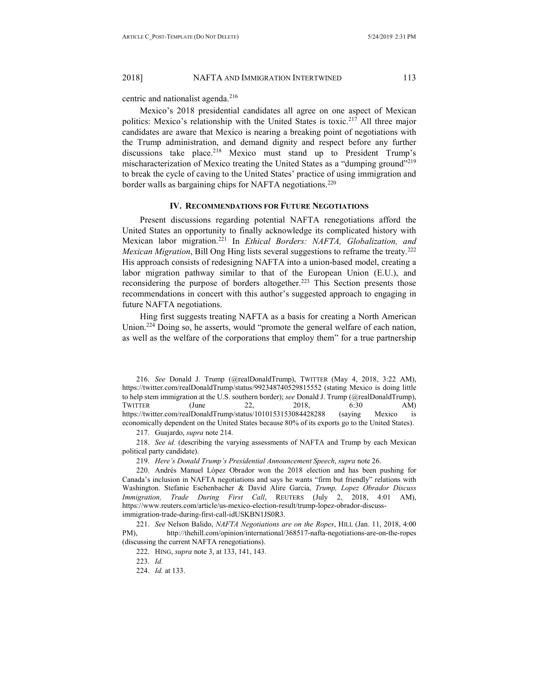centric and nationalist agenda.<sup>216</sup>

Mexico's 2018 presidential candidates all agree on one aspect of Mexican politics: Mexico's relationship with the United States is toxic.<sup>217</sup> All three major candidates are aware that Mexico is nearing a breaking point of negotiations with the Trump administration, and demand dignity and respect before any further discussions take place.<sup>218</sup> Mexico must stand up to President Trump's mischaracterization of Mexico treating the United States as a "dumping ground"<sup>219</sup> to break the cycle of caving to the United States' practice of using immigration and border walls as bargaining chips for NAFTA negotiations.<sup>220</sup>

#### **IV. RECOMMENDATIONS FOR FUTURE NEGOTIATIONS**

<span id="page-24-0"></span>Present discussions regarding potential NAFTA renegotiations afford the United States an opportunity to finally acknowledge its complicated history with Mexican labor migration.221 In *Ethical Borders: NAFTA, Globalization, and Mexican Migration*, Bill Ong Hing lists several suggestions to reframe the treaty.222 His approach consists of redesigning NAFTA into a union-based model, creating a labor migration pathway similar to that of the European Union (E.U.), and reconsidering the purpose of borders altogether.<sup>223</sup> This Section presents those recommendations in concert with this author's suggested approach to engaging in future NAFTA negotiations.

Hing first suggests treating NAFTA as a basis for creating a North American Union.224 Doing so, he asserts, would "promote the general welfare of each nation, as well as the welfare of the corporations that employ them" for a true partnership

216. *See* Donald J. Trump (@realDonaldTrump), TWITTER (May 4, 2018, 3:22 AM), https://twitter.com/realDonaldTrump/status/992348740529815552 (stating Mexico is doing little to help stem immigration at the U.S. southern border); *see* Donald J. Trump (@realDonaldTrump), TWITTER (June 22, 2018, 6:30 AM) https://twitter.com/realDonaldTrump/status/1010153153084428288 (saying Mexico is economically dependent on the United States because 80% of its exports go to the United States).

217. Guajardo, *supra* note 214.

218. *See id.* (describing the varying assessments of NAFTA and Trump by each Mexican political party candidate).

219. *Here's Donald Trump's Presidential Announcement Speech*, *supra* note 26.

220. Andrés Manuel López Obrador won the 2018 election and has been pushing for Canada's inclusion in NAFTA negotiations and says he wants "firm but friendly" relations with Washington. Stefanie Eschenbacher & David Alire Garcia, *Trump, Lopez Obrador Discuss Immigration, Trade During First Call*, REUTERS (July 2, 2018, 4:01 AM), https://www.reuters.com/article/us-mexico-election-result/trump-lopez-obrador-discussimmigration-trade-during-first-call-idUSKBN1JS0R3.

221. *See* Nelson Balido, *NAFTA Negotiations are on the Ropes*, HILL (Jan. 11, 2018, 4:00 PM), http://thehill.com/opinion/international/368517-nafta-negotiations-are-on-the-ropes (discussing the current NAFTA renegotiations).

222. HING, *supra* note 3, at 133, 141, 143.

224. *Id.* at 133.

<sup>223.</sup> *Id.*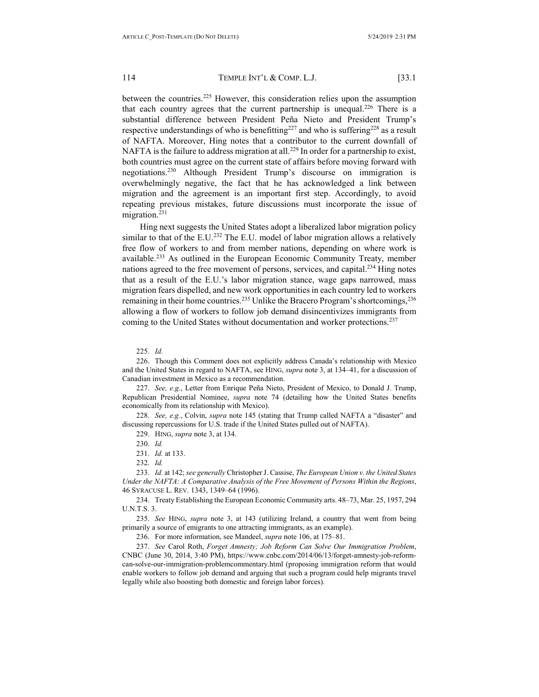between the countries.<sup>225</sup> However, this consideration relies upon the assumption that each country agrees that the current partnership is unequal.<sup>226</sup> There is a substantial difference between President Peña Nieto and President Trump's respective understandings of who is benefitting<sup>227</sup> and who is suffering<sup>228</sup> as a result of NAFTA. Moreover, Hing notes that a contributor to the current downfall of NAFTA is the failure to address migration at all.<sup>229</sup> In order for a partnership to exist, both countries must agree on the current state of affairs before moving forward with negotiations.230 Although President Trump's discourse on immigration is overwhelmingly negative, the fact that he has acknowledged a link between migration and the agreement is an important first step. Accordingly, to avoid repeating previous mistakes, future discussions must incorporate the issue of migration.<sup>231</sup>

Hing next suggests the United States adopt a liberalized labor migration policy similar to that of the E.U.<sup>232</sup> The E.U. model of labor migration allows a relatively free flow of workers to and from member nations, depending on where work is available.233 As outlined in the European Economic Community Treaty, member nations agreed to the free movement of persons, services, and capital.234 Hing notes that as a result of the E.U.'s labor migration stance, wage gaps narrowed, mass migration fears dispelled, and new work opportunities in each country led to workers remaining in their home countries.<sup>235</sup> Unlike the Bracero Program's shortcomings,<sup>236</sup> allowing a flow of workers to follow job demand disincentivizes immigrants from coming to the United States without documentation and worker protections.<sup>237</sup>

225. *Id.*

226. Though this Comment does not explicitly address Canada's relationship with Mexico and the United States in regard to NAFTA, see HING, *supra* note 3, at 134–41, for a discussion of Canadian investment in Mexico as a recommendation.

227. *See, e.g.*, Letter from Enrique Peña Nieto, President of Mexico, to Donald J. Trump, Republican Presidential Nominee, *supra* note 74 (detailing how the United States benefits economically from its relationship with Mexico).

228. *See, e.g.*, Colvin, *supra* note 145 (stating that Trump called NAFTA a "disaster" and discussing repercussions for U.S. trade if the United States pulled out of NAFTA).

229. HING, *supra* note 3, at 134.

230. *Id.*

231. *Id.* at 133.

232. *Id.*

233. *Id.* at 142; *see generally* Christopher J. Cassise, *The European Union v. the United States Under the NAFTA: A Comparative Analysis of the Free Movement of Persons Within the Regions*, 46 SYRACUSE L. REV. 1343, 1349–64 (1996).

234. Treaty Establishing the European Economic Community arts. 48–73, Mar. 25, 1957, 294 U.N.T.S. 3.

235. *See* HING, *supra* note 3, at 143 (utilizing Ireland, a country that went from being primarily a source of emigrants to one attracting immigrants, as an example).

236. For more information, see Mandeel, *supra* note 106, at 175–81.

237. *See* Carol Roth, *Forget Amnesty; Job Reform Can Solve Our Immigration Problem*, CNBC (June 30, 2014, 3:40 PM), https://www.cnbc.com/2014/06/13/forget-amnesty-job-reformcan-solve-our-immigration-problemcommentary.html (proposing immigration reform that would enable workers to follow job demand and arguing that such a program could help migrants travel legally while also boosting both domestic and foreign labor forces).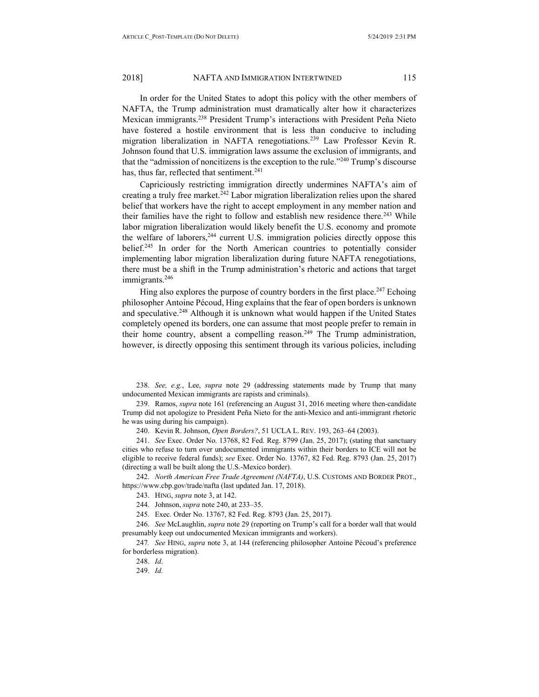In order for the United States to adopt this policy with the other members of NAFTA, the Trump administration must dramatically alter how it characterizes Mexican immigrants.238 President Trump's interactions with President Peña Nieto have fostered a hostile environment that is less than conducive to including migration liberalization in NAFTA renegotiations.<sup>239</sup> Law Professor Kevin R. Johnson found that U.S. immigration laws assume the exclusion of immigrants, and that the "admission of noncitizens is the exception to the rule."240 Trump's discourse has, thus far, reflected that sentiment.<sup>241</sup>

Capriciously restricting immigration directly undermines NAFTA's aim of creating a truly free market.<sup>242</sup> Labor migration liberalization relies upon the shared belief that workers have the right to accept employment in any member nation and their families have the right to follow and establish new residence there.<sup>243</sup> While labor migration liberalization would likely benefit the U.S. economy and promote the welfare of laborers,<sup>244</sup> current U.S. immigration policies directly oppose this belief.<sup>245</sup> In order for the North American countries to potentially consider implementing labor migration liberalization during future NAFTA renegotiations, there must be a shift in the Trump administration's rhetoric and actions that target immigrants.<sup>246</sup>

Hing also explores the purpose of country borders in the first place.<sup>247</sup> Echoing philosopher Antoine Pécoud, Hing explains that the fear of open borders is unknown and speculative.<sup>248</sup> Although it is unknown what would happen if the United States completely opened its borders, one can assume that most people prefer to remain in their home country, absent a compelling reason.<sup>249</sup> The Trump administration, however, is directly opposing this sentiment through its various policies, including

238. *See, e.g.*, Lee, *supra* note 29 (addressing statements made by Trump that many undocumented Mexican immigrants are rapists and criminals).

239. Ramos, *supra* note 161 (referencing an August 31, 2016 meeting where then-candidate Trump did not apologize to President Peña Nieto for the anti-Mexico and anti-immigrant rhetoric he was using during his campaign).

240. Kevin R. Johnson, *Open Borders?*, 51 UCLA L. REV. 193, 263–64 (2003).

241. *See* Exec. Order No. 13768, 82 Fed. Reg. 8799 (Jan. 25, 2017); (stating that sanctuary cities who refuse to turn over undocumented immigrants within their borders to ICE will not be eligible to receive federal funds); *see* Exec. Order No. 13767, 82 Fed. Reg. 8793 (Jan. 25, 2017) (directing a wall be built along the U.S.-Mexico border).

242. *North American Free Trade Agreement (NAFTA)*, U.S. CUSTOMS AND BORDER PROT., https://www.cbp.gov/trade/nafta (last updated Jan. 17, 2018).

243. HING, *supra* note 3, at 142.

244. Johnson, *supra* note 240, at 233–35.

245. Exec. Order No. 13767, 82 Fed. Reg. 8793 (Jan. 25, 2017).

246. *See* McLaughlin, *supra* note 29 (reporting on Trump's call for a border wall that would presumably keep out undocumented Mexican immigrants and workers).

247*. See* HING, *supra* note 3, at 144 (referencing philosopher Antoine Pécoud's preference for borderless migration).

248. *Id*.

249. *Id.*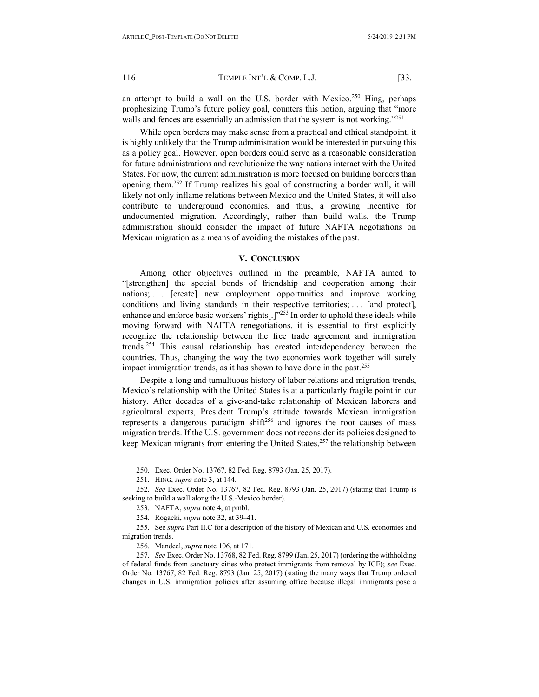an attempt to build a wall on the U.S. border with Mexico.<sup>250</sup> Hing, perhaps prophesizing Trump's future policy goal, counters this notion, arguing that "more walls and fences are essentially an admission that the system is not working."<sup>251</sup>

While open borders may make sense from a practical and ethical standpoint, it is highly unlikely that the Trump administration would be interested in pursuing this as a policy goal. However, open borders could serve as a reasonable consideration for future administrations and revolutionize the way nations interact with the United States. For now, the current administration is more focused on building borders than opening them.252 If Trump realizes his goal of constructing a border wall, it will likely not only inflame relations between Mexico and the United States, it will also contribute to underground economies, and thus, a growing incentive for undocumented migration. Accordingly, rather than build walls, the Trump administration should consider the impact of future NAFTA negotiations on Mexican migration as a means of avoiding the mistakes of the past.

#### **V. CONCLUSION**

<span id="page-27-0"></span>Among other objectives outlined in the preamble, NAFTA aimed to "[strengthen] the special bonds of friendship and cooperation among their nations; . . . [create] new employment opportunities and improve working conditions and living standards in their respective territories; . . . [and protect], enhance and enforce basic workers' rights[.]"<sup>253</sup> In order to uphold these ideals while moving forward with NAFTA renegotiations, it is essential to first explicitly recognize the relationship between the free trade agreement and immigration trends.254 This causal relationship has created interdependency between the countries. Thus, changing the way the two economies work together will surely impact immigration trends, as it has shown to have done in the past.<sup>255</sup>

Despite a long and tumultuous history of labor relations and migration trends, Mexico's relationship with the United States is at a particularly fragile point in our history. After decades of a give-and-take relationship of Mexican laborers and agricultural exports, President Trump's attitude towards Mexican immigration represents a dangerous paradigm shift<sup>256</sup> and ignores the root causes of mass migration trends. If the U.S. government does not reconsider its policies designed to keep Mexican migrants from entering the United States,<sup>257</sup> the relationship between

250. Exec. Order No. 13767, 82 Fed. Reg. 8793 (Jan. 25, 2017).

251. HING, *supra* note 3, at 144.

252. *See* Exec. Order No. 13767, 82 Fed. Reg. 8793 (Jan. 25, 2017) (stating that Trump is seeking to build a wall along the U.S.-Mexico border).

253. NAFTA, *supra* note 4, at pmbl.

254. Rogacki, *supra* note 32, at 39–41.

255. See *supra* Part II.C for a description of the history of Mexican and U.S. economies and migration trends.

256. Mandeel, *supra* note 106, at 171.

257. *See* Exec. Order No. 13768, 82 Fed. Reg. 8799 (Jan. 25, 2017) (ordering the withholding of federal funds from sanctuary cities who protect immigrants from removal by ICE); *see* Exec. Order No. 13767, 82 Fed. Reg. 8793 (Jan. 25, 2017) (stating the many ways that Trump ordered changes in U.S. immigration policies after assuming office because illegal immigrants pose a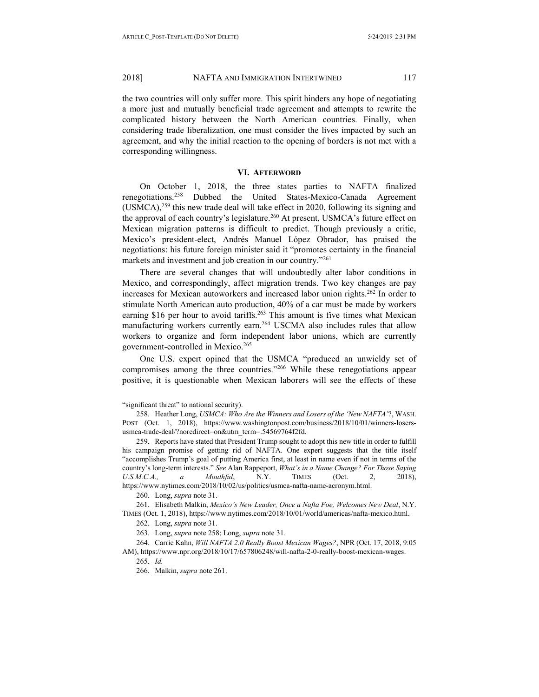the two countries will only suffer more. This spirit hinders any hope of negotiating a more just and mutually beneficial trade agreement and attempts to rewrite the complicated history between the North American countries. Finally, when considering trade liberalization, one must consider the lives impacted by such an agreement, and why the initial reaction to the opening of borders is not met with a corresponding willingness.

#### **VI. AFTERWORD**

<span id="page-28-0"></span>On October 1, 2018, the three states parties to NAFTA finalized renegotiations.258 Dubbed the United States-Mexico-Canada Agreement  $(USMCA),<sup>259</sup>$  this new trade deal will take effect in 2020, following its signing and the approval of each country's legislature.<sup>260</sup> At present, USMCA's future effect on Mexican migration patterns is difficult to predict. Though previously a critic, Mexico's president-elect, Andrés Manuel López Obrador, has praised the negotiations: his future foreign minister said it "promotes certainty in the financial markets and investment and job creation in our country."<sup>261</sup>

There are several changes that will undoubtedly alter labor conditions in Mexico, and correspondingly, affect migration trends. Two key changes are pay increases for Mexican autoworkers and increased labor union rights.262 In order to stimulate North American auto production, 40% of a car must be made by workers earning \$16 per hour to avoid tariffs.<sup>263</sup> This amount is five times what Mexican manufacturing workers currently earn.264 USCMA also includes rules that allow workers to organize and form independent labor unions, which are currently government-controlled in Mexico.265

One U.S. expert opined that the USMCA "produced an unwieldy set of compromises among the three countries."266 While these renegotiations appear positive, it is questionable when Mexican laborers will see the effects of these

258. Heather Long, *USMCA: Who Are the Winners and Losers of the 'New NAFTA'*?, WASH. POST (Oct. 1, 2018), https://www.washingtonpost.com/business/2018/10/01/winners-losersusmca-trade-deal/?noredirect=on&utm\_term=.54569764f2fd.

259. Reports have stated that President Trump sought to adopt this new title in order to fulfill his campaign promise of getting rid of NAFTA. One expert suggests that the title itself "accomplishes Trump's goal of putting America first, at least in name even if not in terms of the country's long-term interests." *See* Alan Rappeport, *What's in a Name Change? For Those Saying U.S.M.C.A., a Mouthful*, N.Y. TIMES (Oct. 2, 2018), https://www.nytimes.com/2018/10/02/us/politics/usmca-nafta-name-acronym.html.

260. Long, *supra* note 31.

261. Elisabeth Malkin, *Mexico's New Leader, Once a Nafta Foe, Welcomes New Deal*, N.Y. TIMES (Oct. 1, 2018), https://www.nytimes.com/2018/10/01/world/americas/nafta-mexico.html.

262. Long, *supra* note 31.

263. Long, *supra* note 258; Long, *supra* note 31.

264. Carrie Kahn, *Will NAFTA 2.0 Really Boost Mexican Wages?*, NPR (Oct. 17, 2018, 9:05 AM), https://www.npr.org/2018/10/17/657806248/will-nafta-2-0-really-boost-mexican-wages.

265. *Id.*

266. Malkin, *supra* note 261.

<sup>&</sup>quot;significant threat" to national security).